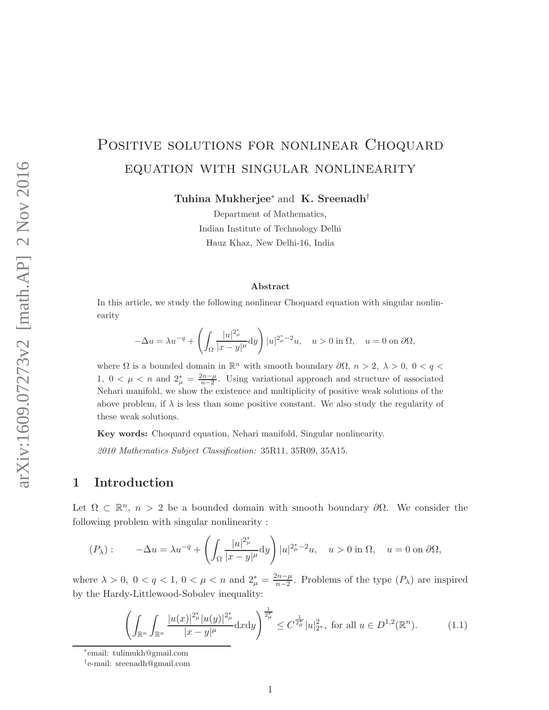# POSITIVE SOLUTIONS FOR NONLINEAR CHOQUARD equation with singular nonlinearity

Tuhina Mukherjee<sup>∗</sup> and K. Sreenadh†

Department of Mathematics, Indian Institute of Technology Delhi Hauz Khaz, New Delhi-16, India

#### Abstract

In this article, we study the following nonlinear Choquard equation with singular nonlinearity

$$
-\Delta u = \lambda u^{-q} + \left(\int_{\Omega} \frac{|u|^{2_{\mu}^{\ast}}}{|x-y|^{\mu}} dy\right) |u|^{2_{\mu}^{\ast}-2}u, \quad u > 0 \text{ in } \Omega, \quad u = 0 \text{ on } \partial \Omega,
$$

where  $\Omega$  is a bounded domain in  $\mathbb{R}^n$  with smooth boundary  $\partial\Omega$ ,  $n > 2$ ,  $\lambda > 0$ ,  $0 < q <$ 1,  $0 < \mu < n$  and  $2^*_{\mu} = \frac{2n-\mu}{n-2}$ . Using variational approach and structure of associated Nehari manifold, we show the existence and multiplicity of positive weak solutions of the above problem, if  $\lambda$  is less than some positive constant. We also study the regularity of these weak solutions.

Key words: Choquard equation, Nehari manifold, Singular nonlinearity.

2010 Mathematics Subject Classification: 35R11, 35R09, 35A15.

### 1 Introduction

Let  $\Omega \subset \mathbb{R}^n$ ,  $n > 2$  be a bounded domain with smooth boundary  $\partial \Omega$ . We consider the following problem with singular nonlinearity :

$$
(P_\lambda): \qquad -\Delta u = \lambda u^{-q} + \left(\int_{\Omega} \frac{|u|^{2\mu}_{\mu}}{|x - y|^{\mu}} dy\right) |u|^{2\mu - 2} u, \quad u > 0 \text{ in } \Omega, \quad u = 0 \text{ on } \partial\Omega,
$$

where  $\lambda > 0$ ,  $0 < q < 1$ ,  $0 < \mu < n$  and  $2^*_{\mu} = \frac{2n - \mu}{n - 2}$  $\frac{m-\mu}{n-2}$ . Problems of the type  $(P_{\lambda})$  are inspired by the Hardy-Littlewood-Sobolev inequality:

$$
\left(\int_{\mathbb{R}^n} \int_{\mathbb{R}^n} \frac{|u(x)|^{2_{\mu}^*} |u(y)|^{2_{\mu}^*}}{|x - y|^{\mu}} dx dy\right)^{\frac{1}{2_{\mu}^*}} \leq C^{\frac{1}{2_{\mu}^*}} |u|_{2^*}^2, \text{ for all } u \in D^{1,2}(\mathbb{R}^n). \tag{1.1}
$$

<sup>∗</sup> email: tulimukh@gmail.com

<sup>†</sup> e-mail: sreenadh@gmail.com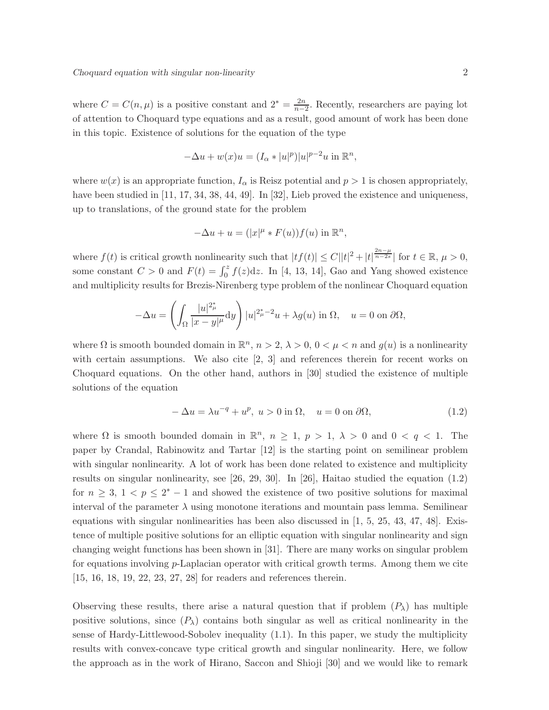where  $C = C(n, \mu)$  is a positive constant and  $2^* = \frac{2n}{n-1}$  $\frac{2n}{n-2}$ . Recently, researchers are paying lot of attention to Choquard type equations and as a result, good amount of work has been done in this topic. Existence of solutions for the equation of the type

$$
-\Delta u + w(x)u = (I_{\alpha} * |u|^p)|u|^{p-2}u \text{ in } \mathbb{R}^n,
$$

where  $w(x)$  is an appropriate function,  $I_{\alpha}$  is Reisz potential and  $p > 1$  is chosen appropriately, have been studied in [11, 17, 34, 38, 44, 49]. In [32], Lieb proved the existence and uniqueness, up to translations, of the ground state for the problem

$$
-\Delta u + u = (|x|^{\mu} * F(u))f(u) \text{ in } \mathbb{R}^n,
$$

where  $f(t)$  is critical growth nonlinearity such that  $|tf(t)| \leq C ||t|^2 + |t|^{\frac{2n-\mu}{n-2s}}$  for  $t \in \mathbb{R}, \mu > 0$ , some constant  $C > 0$  and  $F(t) = \int_0^z f(z) dz$ . In [4, 13, 14], Gao and Yang showed existence and multiplicity results for Brezis-Nirenberg type problem of the nonlinear Choquard equation

$$
-\Delta u = \left(\int_{\Omega} \frac{|u|^{2_{\mu}^*}}{|x - y|^{\mu}} dy\right) |u|^{2_{\mu}^* - 2} u + \lambda g(u) \text{ in } \Omega, \quad u = 0 \text{ on } \partial\Omega,
$$

where  $\Omega$  is smooth bounded domain in  $\mathbb{R}^n$ ,  $n > 2$ ,  $\lambda > 0$ ,  $0 < \mu < n$  and  $g(u)$  is a nonlinearity with certain assumptions. We also cite [2, 3] and references therein for recent works on Choquard equations. On the other hand, authors in [30] studied the existence of multiple solutions of the equation

$$
-\Delta u = \lambda u^{-q} + u^p, \ u > 0 \text{ in } \Omega, \quad u = 0 \text{ on } \partial\Omega,
$$
\n(1.2)

where  $\Omega$  is smooth bounded domain in  $\mathbb{R}^n$ ,  $n \geq 1$ ,  $p > 1$ ,  $\lambda > 0$  and  $0 < q < 1$ . The paper by Crandal, Rabinowitz and Tartar [12] is the starting point on semilinear problem with singular nonlinearity. A lot of work has been done related to existence and multiplicity results on singular nonlinearity, see [26, 29, 30]. In [26], Haitao studied the equation (1.2) for  $n \geq 3$ ,  $1 < p \leq 2^* - 1$  and showed the existence of two positive solutions for maximal interval of the parameter  $\lambda$  using monotone iterations and mountain pass lemma. Semilinear equations with singular nonlinearities has been also discussed in  $[1, 5, 25, 43, 47, 48]$ . Existence of multiple positive solutions for an elliptic equation with singular nonlinearity and sign changing weight functions has been shown in [31]. There are many works on singular problem for equations involving p-Laplacian operator with critical growth terms. Among them we cite [15, 16, 18, 19, 22, 23, 27, 28] for readers and references therein.

Observing these results, there arise a natural question that if problem  $(P_\lambda)$  has multiple positive solutions, since  $(P_\lambda)$  contains both singular as well as critical nonlinearity in the sense of Hardy-Littlewood-Sobolev inequality (1.1). In this paper, we study the multiplicity results with convex-concave type critical growth and singular nonlinearity. Here, we follow the approach as in the work of Hirano, Saccon and Shioji [30] and we would like to remark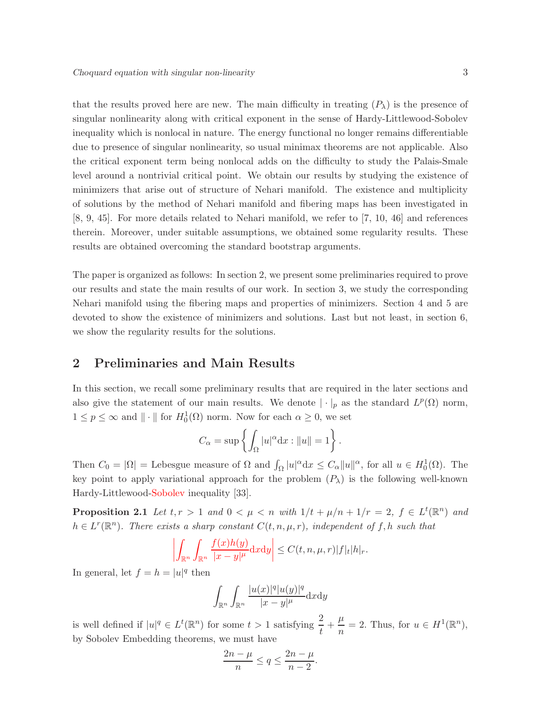that the results proved here are new. The main difficulty in treating  $(P_\lambda)$  is the presence of singular nonlinearity along with critical exponent in the sense of Hardy-Littlewood-Sobolev inequality which is nonlocal in nature. The energy functional no longer remains differentiable due to presence of singular nonlinearity, so usual minimax theorems are not applicable. Also the critical exponent term being nonlocal adds on the difficulty to study the Palais-Smale level around a nontrivial critical point. We obtain our results by studying the existence of minimizers that arise out of structure of Nehari manifold. The existence and multiplicity of solutions by the method of Nehari manifold and fibering maps has been investigated in [8, 9, 45]. For more details related to Nehari manifold, we refer to [7, 10, 46] and references therein. Moreover, under suitable assumptions, we obtained some regularity results. These results are obtained overcoming the standard bootstrap arguments.

The paper is organized as follows: In section 2, we present some preliminaries required to prove our results and state the main results of our work. In section 3, we study the corresponding Nehari manifold using the fibering maps and properties of minimizers. Section 4 and 5 are devoted to show the existence of minimizers and solutions. Last but not least, in section 6, we show the regularity results for the solutions.

## 2 Preliminaries and Main Results

In this section, we recall some preliminary results that are required in the later sections and also give the statement of our main results. We denote  $|\cdot|_p$  as the standard  $L^p(\Omega)$  norm,  $1 \le p \le \infty$  and  $\|\cdot\|$  for  $H_0^1(\Omega)$  norm. Now for each  $\alpha \ge 0$ , we set

$$
C_{\alpha} = \sup \left\{ \int_{\Omega} |u|^{\alpha} dx : ||u|| = 1 \right\}.
$$

Then  $C_0 = |\Omega|$  = Lebesgue measure of  $\Omega$  and  $\int_{\Omega} |u|^{\alpha} dx \leq C_{\alpha} ||u||^{\alpha}$ , for all  $u \in H_0^1(\Omega)$ . The key point to apply variational approach for the problem  $(P_\lambda)$  is the following well-known Hardy-Littlewood-Sobolev inequality [33].

**Proposition 2.1** Let  $t, r > 1$  and  $0 < \mu < n$  with  $1/t + \mu/n + 1/r = 2$ ,  $f \in L^t(\mathbb{R}^n)$  and  $h \in L^r(\mathbb{R}^n)$ . There exists a sharp constant  $C(t, n, \mu, r)$ , independent of f, h such that

$$
\left| \int_{\mathbb{R}^n} \int_{\mathbb{R}^n} \frac{f(x)h(y)}{|x-y|^{\mu}} dx dy \right| \leq C(t, n, \mu, r) |f|_{t} |h|_{r}.
$$

In general, let  $f = h = |u|^q$  then

$$
\int_{\mathbb{R}^n} \int_{\mathbb{R}^n} \frac{|u(x)|^q |u(y)|^q}{|x-y|^{\mu}} \mathrm{d}x \mathrm{d}y
$$

is well defined if  $|u|^q \in L^t(\mathbb{R}^n)$  for some  $t > 1$  satisfying  $\frac{2}{t} + \frac{\mu}{n}$  $\frac{\mu}{n} = 2$ . Thus, for  $u \in H^1(\mathbb{R}^n)$ , by Sobolev Embedding theorems, we must have

$$
\frac{2n-\mu}{n} \le q \le \frac{2n-\mu}{n-2}.
$$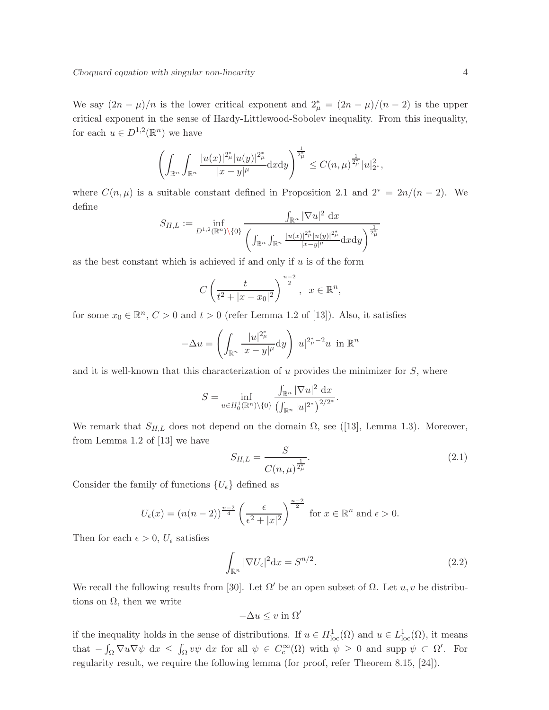We say  $(2n - \mu)/n$  is the lower critical exponent and  $2^*_{\mu} = (2n - \mu)/(n - 2)$  is the upper critical exponent in the sense of Hardy-Littlewood-Sobolev inequality. From this inequality, for each  $u \in D^{1,2}(\mathbb{R}^n)$  we have

$$
\left(\int_{\mathbb{R}^n}\int_{\mathbb{R}^n}\frac{|u(x)|^{2\mu} |u(y)|^{2\mu} }{|x-y|^{\mu}}\mathrm{d}x\mathrm{d}y\right)^{\frac{1}{2\mu} }\leq C(n,\mu)^{\frac{1}{2\mu} }|u|_{2^*}^2,
$$

where  $C(n,\mu)$  is a suitable constant defined in Proposition 2.1 and  $2^* = 2n/(n-2)$ . We define

$$
S_{H,L} := \inf_{D^{1,2}(\mathbb{R}^n)\backslash\{0\}} \frac{\int_{\mathbb{R}^n} |\nabla u|^2 \, \mathrm{d}x}{\left( \int_{\mathbb{R}^n} \int_{\mathbb{R}^n} \frac{|u(x)|^{2\mu} |u(y)|^{2\mu}}{|x-y|^{\mu}} \mathrm{d}x \mathrm{d}y \right)^{\frac{1}{2\mu} }}
$$

as the best constant which is achieved if and only if  $u$  is of the form

$$
C\left(\frac{t}{t^2+|x-x_0|^2}\right)^{\frac{n-2}{2}}, \ \ x\in\mathbb{R}^n,
$$

for some  $x_0 \in \mathbb{R}^n$ ,  $C > 0$  and  $t > 0$  (refer Lemma 1.2 of [13]). Also, it satisfies

$$
-\Delta u = \left(\int_{\mathbb{R}^n} \frac{|u|^{2\mu} }{|x-y|^{\mu}} dy\right) |u|^{2\mu}^{-2} u \text{ in } \mathbb{R}^n
$$

and it is well-known that this characterization of  $u$  provides the minimizer for  $S$ , where

$$
S = \inf_{u \in H_0^1(\mathbb{R}^n) \setminus \{0\}} \frac{\int_{\mathbb{R}^n} |\nabla u|^2 \, \mathrm{d}x}{\left(\int_{\mathbb{R}^n} |u|^{2^*}\right)^{2/2^*}}.
$$

We remark that  $S_{H,L}$  does not depend on the domain  $\Omega$ , see ([13], Lemma 1.3). Moreover, from Lemma 1.2 of [13] we have

$$
S_{H,L} = \frac{S}{C(n,\mu)^{\frac{1}{2_{\mu}^*}}}.\tag{2.1}
$$

Consider the family of functions  $\{U_{\epsilon}\}\$  defined as

$$
U_{\epsilon}(x) = (n(n-2))^{\frac{n-2}{4}} \left(\frac{\epsilon}{\epsilon^2 + |x|^2}\right)^{\frac{n-2}{2}} \text{ for } x \in \mathbb{R}^n \text{ and } \epsilon > 0.
$$

Then for each  $\epsilon > 0$ ,  $U_{\epsilon}$  satisfies

$$
\int_{\mathbb{R}^n} |\nabla U_{\epsilon}|^2 \, \mathrm{d}x = S^{n/2}.\tag{2.2}
$$

We recall the following results from [30]. Let  $\Omega'$  be an open subset of  $\Omega$ . Let  $u, v$  be distributions on  $\Omega$ , then we write

$$
-\Delta u \leq v \text{ in } \Omega'
$$

if the inequality holds in the sense of distributions. If  $u \in H^1_{loc}(\Omega)$  and  $u \in L^1_{loc}(\Omega)$ , it means that  $-\int_{\Omega} \nabla u \nabla \psi \, dx \leq \int_{\Omega} v \psi \, dx$  for all  $\psi \in C_c^{\infty}(\Omega)$  with  $\psi \geq 0$  and supp  $\psi \subset \Omega'$ . For regularity result, we require the following lemma (for proof, refer Theorem 8.15, [24]).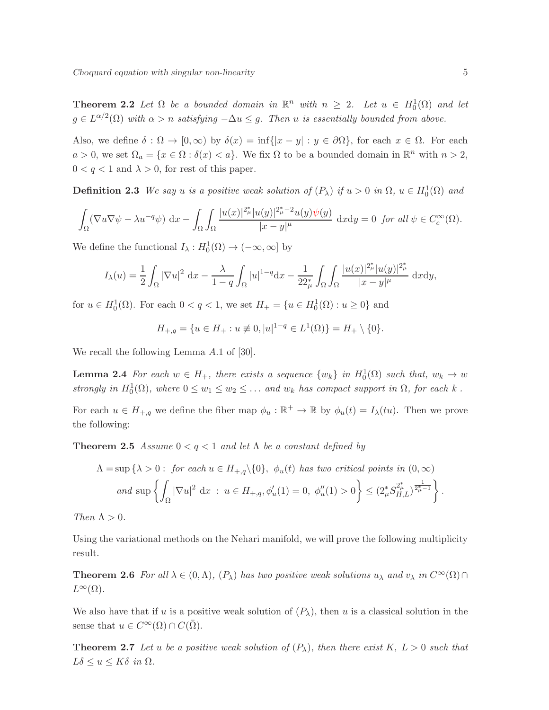**Theorem 2.2** Let  $\Omega$  be a bounded domain in  $\mathbb{R}^n$  with  $n \geq 2$ . Let  $u \in H_0^1(\Omega)$  and let  $g \in L^{\alpha/2}(\Omega)$  with  $\alpha > n$  satisfying  $-\Delta u \leq g$ . Then u is essentially bounded from above.

Also, we define  $\delta : \Omega \to [0, \infty)$  by  $\delta(x) = \inf\{|x - y| : y \in \partial\Omega\}$ , for each  $x \in \Omega$ . For each  $a > 0$ , we set  $\Omega_a = \{x \in \Omega : \delta(x) < a\}$ . We fix  $\Omega$  to be a bounded domain in  $\mathbb{R}^n$  with  $n > 2$ ,  $0 < q < 1$  and  $\lambda > 0$ , for rest of this paper.

**Definition 2.3** We say u is a positive weak solution of  $(P_\lambda)$  if  $u > 0$  in  $\Omega$ ,  $u \in H_0^1(\Omega)$  and

$$
\int_{\Omega} (\nabla u \nabla \psi - \lambda u^{-q} \psi) dx - \int_{\Omega} \int_{\Omega} \frac{|u(x)|^{2_{\mu}^{\ast}} |u(y)|^{2_{\mu}^{\ast}-2} u(y) \psi(y)}{|x-y|^{\mu}} dx dy = 0 \text{ for all } \psi \in C_c^{\infty}(\Omega).
$$

We define the functional  $I_{\lambda}: H_0^1(\Omega) \to (-\infty, \infty]$  by

$$
I_{\lambda}(u) = \frac{1}{2} \int_{\Omega} |\nabla u|^2 dx - \frac{\lambda}{1-q} \int_{\Omega} |u|^{1-q} dx - \frac{1}{22_{\mu}^*} \int_{\Omega} \int_{\Omega} \frac{|u(x)|^{2_{\mu}^*} |u(y)|^{2_{\mu}^*}}{|x-y|^{\mu}} dx dy,
$$

for  $u \in H_0^1(\Omega)$ . For each  $0 < q < 1$ , we set  $H_+ = \{u \in H_0^1(\Omega) : u \ge 0\}$  and

$$
H_{+,q} = \{ u \in H_+ : u \not\equiv 0, |u|^{1-q} \in L^1(\Omega) \} = H_+ \setminus \{0\}.
$$

We recall the following Lemma A.1 of [30].

**Lemma 2.4** For each  $w \in H_+$ , there exists a sequence  $\{w_k\}$  in  $H_0^1(\Omega)$  such that,  $w_k \to w$ strongly in  $H_0^1(\Omega)$ , where  $0 \le w_1 \le w_2 \le \dots$  and  $w_k$  has compact support in  $\Omega$ , for each k.

For each  $u \in H_{+,q}$  we define the fiber map  $\phi_u : \mathbb{R}^+ \to \mathbb{R}$  by  $\phi_u(t) = I_\lambda(tu)$ . Then we prove the following:

**Theorem 2.5** Assume  $0 < q < 1$  and let  $\Lambda$  be a constant defined by

$$
\Lambda = \sup \left\{ \lambda > 0 : \text{ for each } u \in H_{+,q} \setminus \{0\}, \phi_u(t) \text{ has two critical points in } (0, \infty) \right\}
$$
  
and 
$$
\sup \left\{ \int_{\Omega} |\nabla u|^2 dx : u \in H_{+,q}, \phi'_u(1) = 0, \phi''_u(1) > 0 \right\} \leq (2_{\mu}^* S_{H,L}^{2_{\mu}^*})^{\frac{1}{2_{\mu}^*} - 1} \right\}.
$$

Then  $\Lambda > 0$ .

Using the variational methods on the Nehari manifold, we will prove the following multiplicity result.

**Theorem 2.6** For all  $\lambda \in (0, \Lambda)$ ,  $(P_{\lambda})$  has two positive weak solutions  $u_{\lambda}$  and  $v_{\lambda}$  in  $C^{\infty}(\Omega) \cap$  $L^{\infty}(\Omega)$ .

We also have that if u is a positive weak solution of  $(P_\lambda)$ , then u is a classical solution in the sense that  $u \in C^{\infty}(\Omega) \cap C(\overline{\Omega})$ .

**Theorem 2.7** Let u be a positive weak solution of  $(P_\lambda)$ , then there exist K,  $L > 0$  such that  $L\delta \leq u \leq K\delta$  in  $\Omega$ .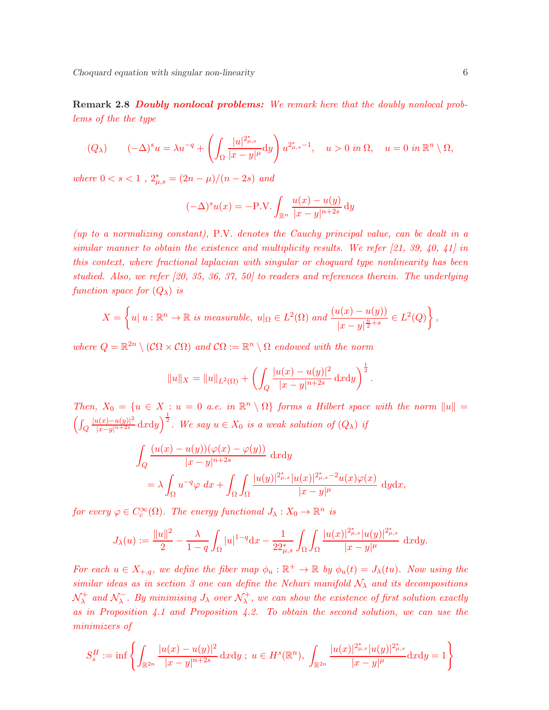Remark 2.8 Doubly nonlocal problems: We remark here that the doubly nonlocal problems of the the type

$$
(Q_{\lambda}) \qquad (-\Delta)^{s} u = \lambda u^{-q} + \left( \int_{\Omega} \frac{|u|^{2_{\mu,s}^{*}}}{|x-y|^{\mu}} dy \right) u^{2_{\mu,s}^{*}-1}, \quad u > 0 \text{ in } \Omega, \quad u = 0 \text{ in } \mathbb{R}^{n} \setminus \Omega,
$$

where  $0 < s < 1$ ,  $2^*_{\mu, s} = (2n - \mu)/(n - 2s)$  and

$$
(-\Delta)^s u(x) = -P.V. \int_{\mathbb{R}^n} \frac{u(x) - u(y)}{|x - y|^{n+2s}} dy
$$

(up to a normalizing constant), P.V. denotes the Cauchy principal value, can be dealt in a similar manner to obtain the existence and multiplicity results. We refer [21, 39, 40, 41] in this context, where fractional laplacian with singular or choquard type nonlinearity has been studied. Also, we refer [20, 35, 36, 37, 50] to readers and references therein. The underlying function space for  $(Q_{\lambda})$  is

$$
X = \left\{ u \mid u : \mathbb{R}^n \to \mathbb{R} \text{ is measurable, } u|_{\Omega} \in L^2(\Omega) \text{ and } \frac{(u(x) - u(y))}{|x - y|^{\frac{n}{2} + s}} \in L^2(Q) \right\},\
$$

where  $Q = \mathbb{R}^{2n} \setminus (\mathcal{C}\Omega \times \mathcal{C}\Omega)$  and  $\mathcal{C}\Omega := \mathbb{R}^n \setminus \Omega$  endowed with the norm

$$
||u||_X = ||u||_{L^2(\Omega)} + \left( \int_Q \frac{|u(x) - u(y)|^2}{|x - y|^{n+2s}} dxdy \right)^{\frac{1}{2}}.
$$

Then,  $X_0 = \{u \in X : u = 0 \text{ a.e. in } \mathbb{R}^n \setminus \Omega\}$  forms a Hilbert space with the norm  $||u|| =$  $\int\int_{Q}$  $\frac{|u(x)-u(y)|^2}{|x-y|^{n+2s}}$  dxdy)<sup>1</sup>. We say  $u \in X_0$  is a weak solution of  $(Q_λ)$  if

$$
\int_{Q} \frac{(u(x) - u(y))(\varphi(x) - \varphi(y))}{|x - y|^{n+2s}} dxdy
$$
\n
$$
= \lambda \int_{\Omega} u^{-q} \varphi \, dx + \int_{\Omega} \int_{\Omega} \frac{|u(y)|^{2_{\mu,s}^*} |u(x)|^{2_{\mu,s}^* - 2} u(x) \varphi(x)}{|x - y|^{\mu}} d y d x,
$$

for every  $\varphi \in C_c^{\infty}(\Omega)$ . The energy functional  $J_{\lambda}: X_0 \to \mathbb{R}^n$  is

$$
J_{\lambda}(u) := \frac{\|u\|^{2}}{2} - \frac{\lambda}{1-q} \int_{\Omega} |u|^{1-q} dx - \frac{1}{22_{\mu,s}^{*}} \int_{\Omega} \int_{\Omega} \frac{|u(x)|^{2_{\mu,s}^{*}}|u(y)|^{2_{\mu,s}^{*}}}{|x-y|^{\mu}} dxdy.
$$

For each  $u \in X_{+,q}$ , we define the fiber map  $\phi_u : \mathbb{R}^+ \to \mathbb{R}$  by  $\phi_u(t) = J_\lambda(tu)$ . Now using the similar ideas as in section 3 one can define the Nehari manifold  $\mathcal{N}_{\lambda}$  and its decompositions  $\mathcal{N}^+_\lambda$  $\lambda^+$  and  $\mathcal{N}_{\lambda}^ \bar{\lambda}_\lambda$ . By minimising  $J_\lambda$  over  $\mathcal{N}^+_\lambda$  $\lambda^+$ , we can show the existence of first solution exactly as in Proposition 4.1 and Proposition 4.2. To obtain the second solution, we can use the minimizers of

$$
S_s^H := \inf \left\{ \int_{\mathbb{R}^{2n}} \frac{|u(x) - u(y)|^2}{|x - y|^{n+2s}} \, \mathrm{d}x \mathrm{d}y \; ; \; u \in H^s(\mathbb{R}^n), \; \int_{\mathbb{R}^{2n}} \frac{|u(x)|^{2_{\mu,s}^*} |u(y)|^{2_{\mu,s}^*}}{|x - y|^{\mu}} \mathrm{d}x \mathrm{d}y = 1 \right\}
$$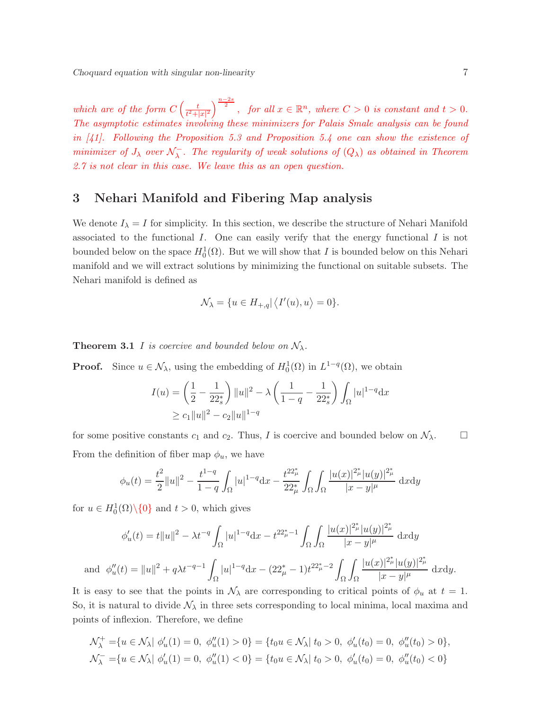which are of the form  $C\left(\frac{t}{t^2+1}\right)$  $\frac{t}{t^2+|x|^2}\Big)^{\frac{n-2s}{2}}\,,\;\; \textit{for all}\; x\in \mathbb{R}^n,\; \textit{where}\; \, C>0\, \; \textit{is constant} \; \, \textit{and}\; t>0.$ The asymptotic estimates involving these minimizers for Palais Smale analysis can be found in  $[41]$ . Following the Proposition 5.3 and Proposition 5.4 one can show the existence of minimizer of  $J_{\lambda}$  over  $\mathcal{N}_{\lambda}^{-}$  $\overline{\lambda}$ . The regularity of weak solutions of  $(Q_{\lambda})$  as obtained in Theorem 2.7 is not clear in this case. We leave this as an open question.

## 3 Nehari Manifold and Fibering Map analysis

We denote  $I_{\lambda} = I$  for simplicity. In this section, we describe the structure of Nehari Manifold associated to the functional  $I$ . One can easily verify that the energy functional  $I$  is not bounded below on the space  $H_0^1(\Omega)$ . But we will show that I is bounded below on this Nehari manifold and we will extract solutions by minimizing the functional on suitable subsets. The Nehari manifold is defined as

$$
\mathcal{N}_{\lambda} = \{ u \in H_{+,q} | \langle I'(u), u \rangle = 0 \}.
$$

**Theorem 3.1** I is coercive and bounded below on  $\mathcal{N}_{\lambda}$ .

**Proof.** Since  $u \in \mathcal{N}_{\lambda}$ , using the embedding of  $H_0^1(\Omega)$  in  $L^{1-q}(\Omega)$ , we obtain

$$
I(u) = \left(\frac{1}{2} - \frac{1}{22_s^*}\right) ||u||^2 - \lambda \left(\frac{1}{1-q} - \frac{1}{22_s^*}\right) \int_{\Omega} |u|^{1-q} dx
$$
  
\n
$$
\geq c_1 ||u||^2 - c_2 ||u||^{1-q}
$$

for some positive constants  $c_1$  and  $c_2$ . Thus, I is coercive and bounded below on  $\mathcal{N}_\lambda$ . From the definition of fiber map  $\phi_u$ , we have

$$
\phi_u(t) = \frac{t^2}{2} ||u||^2 - \frac{t^{1-q}}{1-q} \int_{\Omega} |u|^{1-q} dx - \frac{t^{22\mu} }{22\mu^*} \int_{\Omega} \int_{\Omega} \frac{|u(x)|^{2\mu} |u(y)|^{2\mu} }{|x-y|^{\mu}} dx dy
$$

for  $u \in H_0^1(\Omega) \setminus \{0\}$  and  $t > 0$ , which gives

an

$$
\phi'_u(t) = t||u||^2 - \lambda t^{-q} \int_{\Omega} |u|^{1-q} dx - t^{22_{\mu}^* - 1} \int_{\Omega} \int_{\Omega} \frac{|u(x)|^{2_{\mu}^*} |u(y)|^{2_{\mu}^*}}{|x - y|^{\mu}} dxdy
$$
  

$$
d \phi''_u(t) = ||u||^2 + q\lambda t^{-q-1} \int_{\Omega} |u|^{1-q} dx - (22_{\mu}^* - 1)t^{22_{\mu}^* - 2} \int_{\Omega} \int_{\Omega} \frac{|u(x)|^{2_{\mu}^*} |u(y)|^{2_{\mu}^*}}{|x - y|^{\mu}} dxdy.
$$

It is easy to see that the points in  $\mathcal{N}_{\lambda}$  are corresponding to critical points of  $\phi_u$  at  $t = 1$ . So, it is natural to divide  $\mathcal{N}_{\lambda}$  in three sets corresponding to local minima, local maxima and points of inflexion. Therefore, we define

$$
\mathcal{N}_{\lambda}^{+} = \{ u \in \mathcal{N}_{\lambda} | \phi_{u}'(1) = 0, \phi_{u}''(1) > 0 \} = \{ t_{0} u \in \mathcal{N}_{\lambda} | t_{0} > 0, \phi_{u}'(t_{0}) = 0, \phi_{u}''(t_{0}) > 0 \},
$$
  

$$
\mathcal{N}_{\lambda}^{-} = \{ u \in \mathcal{N}_{\lambda} | \phi_{u}'(1) = 0, \phi_{u}''(1) < 0 \} = \{ t_{0} u \in \mathcal{N}_{\lambda} | t_{0} > 0, \phi_{u}'(t_{0}) = 0, \phi_{u}''(t_{0}) < 0 \}
$$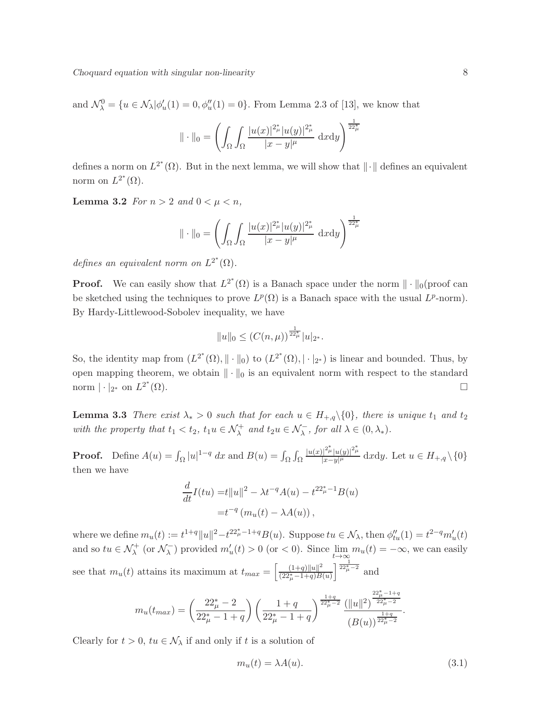and  $\mathcal{N}_{\lambda}^{0} = \{u \in \mathcal{N}_{\lambda} | \phi'_{u}(1) = 0, \phi''_{u}(1) = 0\}.$  From Lemma 2.3 of [13], we know that

$$
\|\cdot\|_{0} = \left(\int_{\Omega} \int_{\Omega} \frac{|u(x)|^{2_{\mu}^{\ast}}|u(y)|^{2_{\mu}^{\ast}}}{|x-y|^{\mu}} \,dxdy\right)^{\frac{1}{22_{\mu}^{\ast}}}
$$

defines a norm on  $L^{2^*}(\Omega)$ . But in the next lemma, we will show that  $\|\cdot\|$  defines an equivalent norm on  $L^{2^*}(\Omega)$ .

**Lemma 3.2** For  $n > 2$  and  $0 < \mu < n$ ,

$$
\|\cdot\|_{0} = \left(\int_{\Omega} \int_{\Omega} \frac{|u(x)|^{2_{\mu}^{*}}|u(y)|^{2_{\mu}^{*}}}{|x-y|^{\mu}} \,dxdy\right)^{\frac{1}{22_{\mu}^{*}}}
$$

defines an equivalent norm on  $L^{2^*}(\Omega)$ .

**Proof.** We can easily show that  $L^{2^*}(\Omega)$  is a Banach space under the norm  $\|\cdot\|_0$  (proof can be sketched using the techniques to prove  $L^p(\Omega)$  is a Banach space with the usual  $L^p$ -norm). By Hardy-Littlewood-Sobolev inequality, we have

$$
||u||_0 \le (C(n,\mu))^{\frac{1}{22_{\mu}^*}} |u|_{2^*}.
$$

So, the identity map from  $(L^{2^*}(\Omega), \|\cdot\|_0)$  to  $(L^{2^*}(\Omega), \|\cdot\|_{2^*})$  is linear and bounded. Thus, by open mapping theorem, we obtain  $\|\cdot\|_0$  is an equivalent norm with respect to the standard norm  $|\cdot|_{2^*}$  on  $L^{2^*}$  $(\Omega)$ .

**Lemma 3.3** There exist  $\lambda_* > 0$  such that for each  $u \in H_{+,q} \setminus \{0\}$ , there is unique  $t_1$  and  $t_2$ with the property that  $t_1 < t_2$ ,  $t_1u \in \mathcal{N}_{\lambda}^+$  and  $t_2u \in \mathcal{N}_{\lambda}^-$ , for all  $\lambda \in (0, \lambda_*)$ .

**Proof.** Define  $A(u) = \int_{\Omega} |u|^{1-q} dx$  and  $B(u) = \int_{\Omega} \int_{\Omega}$  $|u(x)|^{2_{\mu}^*} |u(y)|^{2_{\mu}^*}$  $\frac{||P||^{\mu}||^{\mu}u(y)||^{\mu}}{|x-y|^{\mu}} \mathrm{d}x \mathrm{d}y$ . Let  $u \in H_{+,q} \setminus \{0\}$ then we have

$$
\frac{d}{dt}I(tu) = t||u||^2 - \lambda t^{-q}A(u) - t^{22_{\mu}^* - 1}B(u)
$$

$$
= t^{-q} (m_u(t) - \lambda A(u)),
$$

where we define  $m_u(t) := t^{1+q} ||u||^2 - t^{22_{\mu}^* - 1 + q} B(u)$ . Suppose  $tu \in \mathcal{N}_{\lambda}$ , then  $\phi''_{tu}(1) = t^{2-q} m'_u(t)$ and so  $tu \in \mathcal{N}_{\lambda}^{+}$  (or  $\mathcal{N}_{\lambda}^{-}$  $\sum_{k=0}^{n-1}$  provided  $m'_u(t) > 0$  (or  $< 0$ ). Since  $\lim_{t \to \infty} m_u(t) = -\infty$ , we can easily see that  $m_u(t)$  attains its maximum at  $t_{max} = \left[\frac{(1+q)\|u\|^2}{(22^*-1+q)B}\right]$  $(22^*_\mu - 1+q)B(u)$  $\left[\frac{1}{22_{\mu}^*-2}\right]$  and

$$
m_u(t_{max}) = \left(\frac{22_{\mu}^* - 2}{22_{\mu}^* - 1 + q}\right) \left(\frac{1 + q}{22_{\mu}^* - 1 + q}\right)^{\frac{1 + q}{22_{\mu}^* - 2}} \frac{(\|u\|^2)^{\frac{22_{\mu}^* - 1 + q}{22_{\mu}^* - 2}}}{(B(u))^{\frac{1 + q}{22_{\mu}^* - 2}}}.
$$

Clearly for  $t > 0$ ,  $tu \in \mathcal{N}_{\lambda}$  if and only if t is a solution of

$$
m_u(t) = \lambda A(u). \tag{3.1}
$$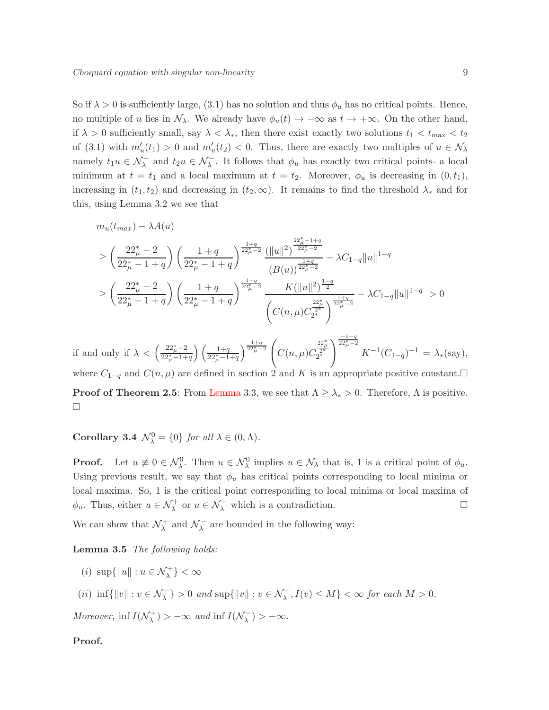So if  $\lambda > 0$  is sufficiently large, (3.1) has no solution and thus  $\phi_u$  has no critical points. Hence, no multiple of u lies in  $\mathcal{N}_{\lambda}$ . We already have  $\phi_u(t) \to -\infty$  as  $t \to +\infty$ . On the other hand, if  $\lambda > 0$  sufficiently small, say  $\lambda < \lambda_*$ , then there exist exactly two solutions  $t_1 < t_{\text{max}} < t_2$ of (3.1) with  $m'_u(t_1) > 0$  and  $m'_u(t_2) < 0$ . Thus, there are exactly two multiples of  $u \in \mathcal{N}_\lambda$ namely  $t_1u \in \mathcal{N}^+_{\lambda}$  and  $t_2u \in \mathcal{N}^-_{\lambda}$ . It follows that  $\phi_u$  has exactly two critical points- a local minimum at  $t = t_1$  and a local maximum at  $t = t_2$ . Moreover,  $\phi_u$  is decreasing in  $(0, t_1)$ , increasing in  $(t_1, t_2)$  and decreasing in  $(t_2, \infty)$ . It remains to find the threshold  $\lambda_*$  and for this, using Lemma 3.2 we see that

$$
m_u(t_{max}) - \lambda A(u)
$$
  
\n
$$
\geq \left(\frac{22_{\mu}^* - 2}{22_{\mu}^* - 1 + q}\right) \left(\frac{1 + q}{22_{\mu}^* - 1 + q}\right)^{\frac{1 + q}{22_{\mu}^* - 2}} \frac{(\|u\|^2)^{\frac{22_{\mu}^* - 1 + q}{22_{\mu}^* - 2}}}{(B(u))^{\frac{1 + q}{22_{\mu}^* - 2}}} - \lambda C_{1 - q} \|u\|^{1 - q}
$$
  
\n
$$
\geq \left(\frac{22_{\mu}^* - 2}{22_{\mu}^* - 1 + q}\right) \left(\frac{1 + q}{22_{\mu}^* - 1 + q}\right)^{\frac{1 + q}{22_{\mu}^* - 2}} \frac{K(\|u\|^2)^{\frac{1 - q}{2}}}{\left(C(n, \mu) C_{2^*}^{\frac{22_{\mu}^*}{2}}\right)^{\frac{1 + q}{22_{\mu}^* - 2}}} - \lambda C_{1 - q} \|u\|^{1 - q} > 0
$$

if and only if  $\lambda < \left(\frac{22_{\mu}^{*}-2}{22_{\mu}^{*}-1+\mu}\right)$  $22^*_{\mu}-1+q$  $\left( \frac{1+q}{22_{\mu}^{*}-1+q} \right)$  $\frac{1+q}{22^*_\mu-2}$  $C(n,\mu)C$  $\frac{22^*_{\mu}}{2^*}$  $\int_{0}^{\frac{-1-q}{22\mu-2}} K^{-1}(C_{1-q})^{-1} = \lambda_{*}(\text{say}),$ where  $C_{1-q}$  and  $C(n,\mu)$  are defined in section 2 and K is an appropriate positive constant. **Proof of Theorem 2.5:** From Lemma 3.3, we see that  $\Lambda \geq \lambda_* > 0$ . Therefore,  $\Lambda$  is positive.  $\Box$ 

**Corollary 3.4**  $\mathcal{N}_{\lambda}^{0} = \{0\}$  for all  $\lambda \in (0, \Lambda)$ .

**Proof.** Let  $u \neq 0 \in \mathcal{N}_{\lambda}^0$ . Then  $u \in \mathcal{N}_{\lambda}$  implies  $u \in \mathcal{N}_{\lambda}$  that is, 1 is a critical point of  $\phi_u$ . Using previous result, we say that  $\phi_u$  has critical points corresponding to local minima or local maxima. So, 1 is the critical point corresponding to local minima or local maxima of  $\phi_u$ . Thus, either  $u \in \mathcal{N}^+_{\lambda}$  or  $u \in \mathcal{N}^-_{\lambda}$  which is a contradiction.

We can show that  $\mathcal{N}_{\lambda}^{+}$  $\chi^+$  and  $\mathcal{N}^ \lambda$  are bounded in the following way:

Lemma 3.5 The following holds:

- (*i*)  $\sup\{\|u\| : u \in \mathcal{N}_{\lambda}^{+}\} < \infty$
- (*ii*)  $\inf\{\Vert v\Vert : v \in \mathcal{N}_{\lambda}^{-}\} > 0$  and  $\sup\{\Vert v\Vert : v \in \mathcal{N}_{\lambda}^{-}, I(v) \leq M\} < \infty$  for each  $M > 0$ .

Moreover, inf  $I(\mathcal{N}_{\lambda}^{+})$  $\chi^{(+)}$ ) >  $-\infty$  and inf  $I(\mathcal{N}_{\lambda}^{-})$  $\left(\frac{1}{\lambda}\right) > -\infty.$ 

#### Proof.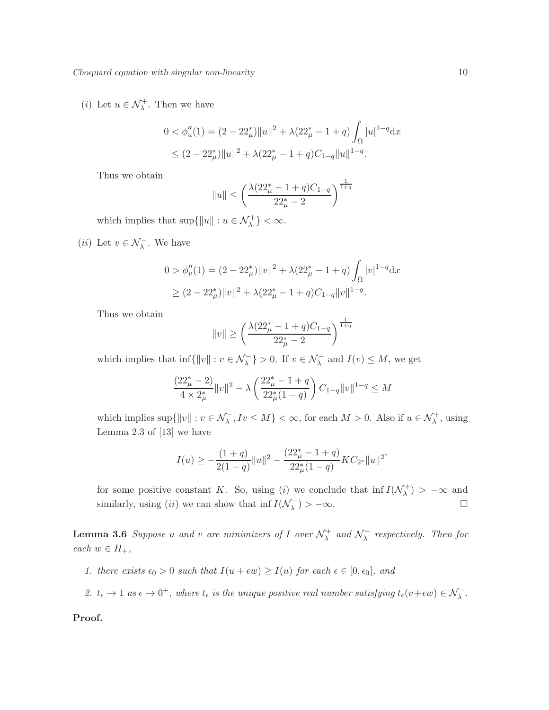(*i*) Let  $u \in \mathcal{N}_{\lambda}^{+}$ . Then we have

$$
0 < \phi_u''(1) = (2 - 22^*_{\mu}) ||u||^2 + \lambda (22^*_{\mu} - 1 + q) \int_{\Omega} |u|^{1-q} \, \mathrm{d}x
$$
\n
$$
\leq (2 - 22^*_{\mu}) ||u||^2 + \lambda (22^*_{\mu} - 1 + q) C_{1-q} ||u||^{1-q}.
$$

Thus we obtain

$$
||u|| \le \left(\frac{\lambda(22_{\mu}^* - 1 + q)C_{1-q}}{22_{\mu}^* - 2}\right)^{\frac{1}{1+q}}
$$

which implies that  $\sup\{\|u\| : u \in \mathcal{N}_{\lambda}^{+}\} < \infty$ .

(*ii*) Let  $v \in \mathcal{N}_{\lambda}^-$ . We have

$$
0 > \phi_v''(1) = (2 - 22^*_{\mu}) ||v||^2 + \lambda (22^*_{\mu} - 1 + q) \int_{\Omega} |v|^{1-q} dx
$$
  
 
$$
\geq (2 - 22^*_{\mu}) ||v||^2 + \lambda (22^*_{\mu} - 1 + q)C_{1-q} ||v||^{1-q}.
$$

Thus we obtain

$$
||v|| \ge \left(\frac{\lambda (22_{\mu}^{*} - 1 + q)C_{1-q}}{22_{\mu}^{*} - 2}\right)^{\frac{1}{1+q}}
$$

which implies that  $\inf\{\|v\| : v \in \mathcal{N}_\lambda^-\} > 0$ . If  $v \in \mathcal{N}_\lambda^-$  and  $I(v) \leq M$ , we get

$$
\frac{(22_{\mu}^*-2)}{4 \times 2_{\mu}^*} ||v||^2 - \lambda \left(\frac{22_{\mu}^*-1+q}{22_{\mu}^*(1-q)}\right) C_{1-q} ||v||^{1-q} \leq M
$$

which implies  $\sup\{\|v\| : v \in \mathcal{N}_\lambda^-, I v \leq M\} < \infty$ , for each  $M > 0$ . Also if  $u \in \mathcal{N}_\lambda^+$ , using Lemma 2.3 of [13] we have

$$
I(u) \ge -\frac{(1+q)}{2(1-q)}||u||^2 - \frac{(22_{\mu}^* - 1 + q)}{22_{\mu}^*(1-q)}KC_{2^*}||u||^{2^*}
$$

for some positive constant K. So, using (i) we conclude that inf  $I(\mathcal{N}_\lambda^+)$  $\lambda^{(+)}$  >  $-\infty$  and similarly, using (ii) we can show that inf  $I(\mathcal{N}_\lambda^-)$  $\binom{-}{\lambda} > -\infty$ .

**Lemma 3.6** Suppose u and v are minimizers of I over  $\mathcal{N}_\lambda^+$  $\lambda^+$  and  $\mathcal{N}^-_{\lambda}$  $\overline{\lambda}$  respectively. Then for each  $w \in H_+,$ 

1. there exists  $\epsilon_0 > 0$  such that  $I(u + \epsilon w) \ge I(u)$  for each  $\epsilon \in [0, \epsilon_0]$ , and

2.  $t_{\epsilon} \to 1$  as  $\epsilon \to 0^+$ , where  $t_{\epsilon}$  is the unique positive real number satisfying  $t_{\epsilon}(v+\epsilon w) \in \mathcal{N}_{\lambda}^{-}$ .

Proof.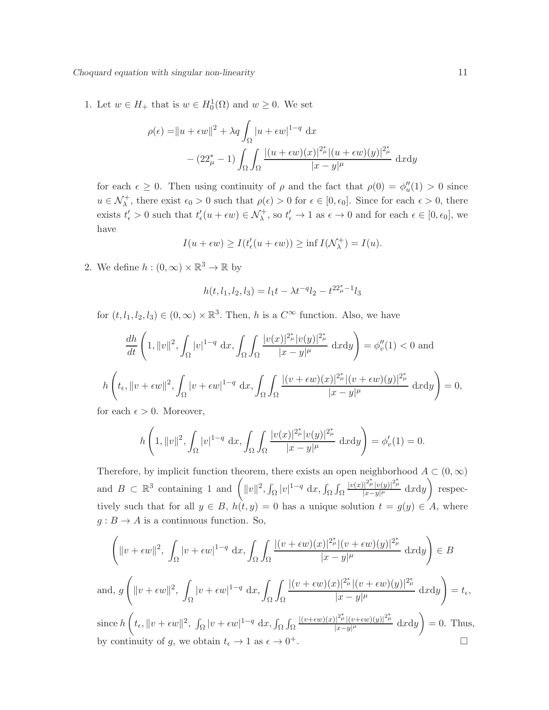1. Let  $w \in H_+$  that is  $w \in H_0^1(\Omega)$  and  $w \ge 0$ . We set

$$
\rho(\epsilon) = ||u + \epsilon w||^2 + \lambda q \int_{\Omega} |u + \epsilon w|^{1-q} dx
$$

$$
- (22^*_{\mu} - 1) \int_{\Omega} \int_{\Omega} \frac{|(u + \epsilon w)(x)|^{2^*_{\mu}} |(u + \epsilon w)(y)|^{2^*_{\mu}}}{|x - y|^{\mu}} dxdy
$$

for each  $\epsilon \geq 0$ . Then using continuity of  $\rho$  and the fact that  $\rho(0) = \phi''_u(1) > 0$  since  $u \in \mathcal{N}_{\lambda}^+$ , there exist  $\epsilon_0 > 0$  such that  $\rho(\epsilon) > 0$  for  $\epsilon \in [0, \epsilon_0]$ . Since for each  $\epsilon > 0$ , there exists  $t'_{\epsilon} > 0$  such that  $t'_{\epsilon}(u + \epsilon w) \in \mathcal{N}_{\lambda}^{+}$ , so  $t'_{\epsilon} \to 1$  as  $\epsilon \to 0$  and for each  $\epsilon \in [0, \epsilon_0]$ , we have

$$
I(u + \epsilon w) \ge I(t'_{\epsilon}(u + \epsilon w)) \ge \inf I(\mathcal{N}_{\lambda}^{+}) = I(u).
$$

2. We define  $h:(0,\infty)\times\mathbb{R}^3\to\mathbb{R}$  by

$$
h(t, l_1, l_2, l_3) = l_1 t - \lambda t^{-q} l_2 - t^{22_{\mu}^* - 1} l_3
$$

for  $(t, l_1, l_2, l_3) \in (0, \infty) \times \mathbb{R}^3$ . Then, h is a  $C^{\infty}$  function. Also, we have

$$
\frac{dh}{dt}\left(1,||v||^2,\int_{\Omega}|v|^{1-q}\ dx,\int_{\Omega}\int_{\Omega}\frac{|v(x)|^{2\mu} |v(y)|^{2\mu} }{|x-y|^{\mu}}\ dxdy\right) = \phi_v''(1) < 0 \text{ and}
$$
  

$$
h\left(t_{\epsilon},||v+\epsilon w||^2,\int_{\Omega}|v+\epsilon w|^{1-q}\ dx,\int_{\Omega}\int_{\Omega}\frac{|(v+\epsilon w)(x)|^{2\mu} |(v+\epsilon w)(y)|^{2\mu} }{|x-y|^{\mu}}\ dxdy\right) = 0,
$$

for each  $\epsilon > 0$ . Moreover,

$$
h\left(1,||v||^2, \int_{\Omega} |v|^{1-q} \, \mathrm{d}x, \int_{\Omega} \int_{\Omega} \frac{|v(x)|^{2\mu} |v(y)|^{2\mu}}{|x-y|^{\mu}} \, \mathrm{d}x \mathrm{d}y\right) = \phi'_v(1) = 0.
$$

Therefore, by implicit function theorem, there exists an open neighborhood  $A \subset (0, \infty)$ and  $B \subset \mathbb{R}^3$  containing 1 and  $\left( ||v||^2, \int_{\Omega} |v|^{1-q} dx, \int_{\Omega} \int_{\Omega}$  $\frac{|v(x)|^{2^*_{\mu}}|v(y)|^{2^*_{\mu}}}{|x-y|^{\mu}}$  dxdy) respectively such that for all  $y \in B$ ,  $h(t, y) = 0$  has a unique solution  $t = g(y) \in A$ , where  $g : B \to A$  is a continuous function. So,

$$
\left(\|v+\epsilon w\|^2, \int_{\Omega} |v+\epsilon w|^{1-q} dx, \int_{\Omega} \int_{\Omega} \frac{|(v+\epsilon w)(x)|^{2\mu} |(v+\epsilon w)(y)|^{2\mu}}{|x-y|^{\mu}} dxdy\right) \in B
$$
\nand,  $g\left(\|v+\epsilon w\|^2, \int_{\Omega} |v+\epsilon w|^{1-q} dx, \int_{\Omega} \int_{\Omega} \frac{|(v+\epsilon w)(x)|^{2\mu} |(v+\epsilon w)(y)|^{2\mu}}{|x-y|^{\mu}} dxdy\right) = t_{\epsilon},$ \nsince  $h\left(t_{\epsilon}, \|v+\epsilon w\|^2, \int_{\Omega} |v+\epsilon w|^{1-q} dx, \int_{\Omega} \int_{\Omega} \frac{|(v+\epsilon w)(x)|^{2\mu} |(v+\epsilon w)(y)|^{2\mu}}{|x-y|^{\mu}} dxdy\right) = 0$ . Thus,  
\nby continuity of  $g$ , we obtain  $t_{\epsilon} \to 1$  as  $\epsilon \to 0^+$ .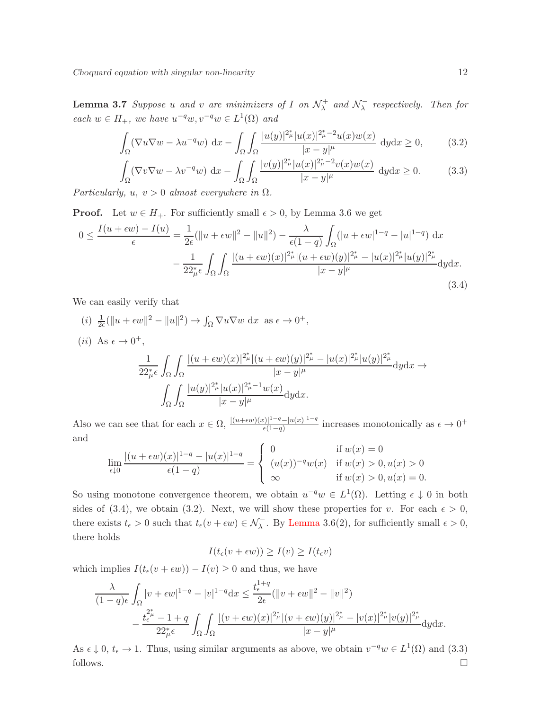**Lemma 3.7** Suppose u and v are minimizers of I on  $\mathcal{N}_{\lambda}^{+}$  $\lambda^+$  and  $\mathcal{N}^-_{\lambda}$  $\overline{\lambda}$  respectively. Then for each  $w \in H_+$ , we have  $u^{-q}w, v^{-q}w \in L^1(\Omega)$  and

$$
\int_{\Omega} (\nabla u \nabla w - \lambda u^{-q} w) dx - \int_{\Omega} \int_{\Omega} \frac{|u(y)|^{2_{\mu}^{\ast}} |u(x)|^{2_{\mu}^{\ast} - 2} u(x) w(x)}{|x - y|^{\mu}} dy dx \ge 0,
$$
 (3.2)

$$
\int_{\Omega} (\nabla v \nabla w - \lambda v^{-q} w) dx - \int_{\Omega} \int_{\Omega} \frac{|v(y)|^{2_{\mu}^{\ast}} |u(x)|^{2_{\mu}^{\ast} - 2} v(x) w(x)}{|x - y|^{\mu}} dy dx \ge 0.
$$
 (3.3)

Particularly,  $u, v > 0$  almost everywhere in  $\Omega$ .

**Proof.** Let  $w \in H_+$ . For sufficiently small  $\epsilon > 0$ , by Lemma 3.6 we get

$$
0 \le \frac{I(u + \epsilon w) - I(u)}{\epsilon} = \frac{1}{2\epsilon} (\|u + \epsilon w\|^2 - \|u\|^2) - \frac{\lambda}{\epsilon (1 - q)} \int_{\Omega} (|u + \epsilon w|^{1 - q} - |u|^{1 - q}) dx - \frac{1}{22_{\mu}^* \epsilon} \int_{\Omega} \int_{\Omega} \frac{|(u + \epsilon w)(x)|^{2_{\mu}^*} |(u + \epsilon w)(y)|^{2_{\mu}^*} - |u(x)|^{2_{\mu}^*} |u(y)|^{2_{\mu}^*}}{|x - y|^{\mu}} dy dx.
$$
\n(3.4)

We can easily verify that

$$
(i) \frac{1}{2\epsilon}(\|u + \epsilon w\|^2 - \|u\|^2) \to \int_{\Omega} \nabla u \nabla w \, dx \text{ as } \epsilon \to 0^+,
$$
  
\n
$$
(ii) \text{ As } \epsilon \to 0^+,
$$
  
\n
$$
\frac{1}{22_{\mu}^* \epsilon} \int_{\Omega} \int_{\Omega} \frac{|(u + \epsilon w)(x)|^{2_{\mu}^*} |(u + \epsilon w)(y)|^{2_{\mu}^*} - |u(x)|^{2_{\mu}^*} |u(y)|^{2_{\mu}^*}}{|x - y|^{\mu}} dy dx \to
$$
  
\n
$$
\int_{\Omega} \int_{\Omega} \frac{|u(y)|^{2_{\mu}^*} |u(x)|^{2_{\mu}^* - 1} w(x)}{|x - y|^{\mu}} dy dx.
$$

Also we can see that for each  $x \in \Omega$ ,  $\frac{|(u+\epsilon w)(x)|^{1-q}-|u(x)|^{1-q}}{\epsilon(1-a)}$  $\frac{\epsilon(1-q)}{\epsilon(1-q)}$  increases monotonically as  $\epsilon \to 0^+$ and

$$
\lim_{\epsilon \downarrow 0} \frac{|(u + \epsilon w)(x)|^{1-q} - |u(x)|^{1-q}}{\epsilon (1-q)} = \begin{cases} 0 & \text{if } w(x) = 0\\ (u(x))^{-q} w(x) & \text{if } w(x) > 0, u(x) > 0\\ \infty & \text{if } w(x) > 0, u(x) = 0. \end{cases}
$$

So using monotone convergence theorem, we obtain  $u^{-q}w \in L^1(\Omega)$ . Letting  $\epsilon \downarrow 0$  in both sides of (3.4), we obtain (3.2). Next, we will show these properties for v. For each  $\epsilon > 0$ , there exists  $t_{\epsilon} > 0$  such that  $t_{\epsilon}(v + \epsilon w) \in \mathcal{N}_{\lambda}^{-}$ . By Lemma 3.6(2), for sufficiently small  $\epsilon > 0$ , there holds

$$
I(t_{\epsilon}(v+\epsilon w)) \ge I(v) \ge I(t_{\epsilon}v)
$$

which implies  $I(t_\epsilon(v + \epsilon w)) - I(v) \geq 0$  and thus, we have

$$
\frac{\lambda}{(1-q)\epsilon} \int_{\Omega} |v + \epsilon w|^{1-q} - |v|^{1-q} dx \le \frac{t_{\epsilon}^{1+q}}{2\epsilon} (\|v + \epsilon w\|^2 - \|v\|^2)
$$

$$
- \frac{t_{\epsilon}^{2^*} - 1 + q}{22^*_{\mu}\epsilon} \int_{\Omega} \int_{\Omega} \frac{|(v + \epsilon w)(x)|^{2^*_{\mu}} |(v + \epsilon w)(y)|^{2^*_{\mu}} - |v(x)|^{2^*_{\mu}} |v(y)|^{2^*_{\mu}}}{|x - y|^{\mu}} dy dx.
$$

As  $\epsilon \downarrow 0$ ,  $t_{\epsilon} \to 1$ . Thus, using similar arguments as above, we obtain  $v^{-q}w \in L^{1}(\Omega)$  and (3.3) follows.  $\Box$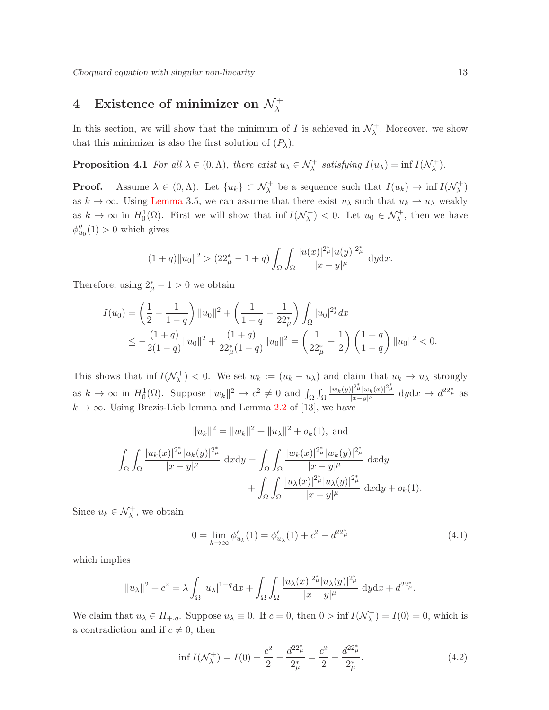## $4$  Existence of minimizer on  $\mathcal{N}_{\lambda}^{+}$

In this section, we will show that the minimum of I is achieved in  $\mathcal{N}_{\lambda}^{+}$  $\lambda^+$ . Moreover, we show that this minimizer is also the first solution of  $(P_\lambda)$ .

**Proposition 4.1** For all  $\lambda \in (0, \Lambda)$ , there exist  $u_{\lambda} \in \mathcal{N}_{\lambda}^{+}$  satisfying  $I(u_{\lambda}) = \inf I(\mathcal{N}_{\lambda}^{+}$  $\lambda^{+}$ ).

**Proof.** Assume  $\lambda \in (0, \Lambda)$ . Let  $\{u_k\} \subset \mathcal{N}^{\dagger}_{\lambda}$  be a sequence such that  $I(u_k) \to \inf I(\mathcal{N}^{\dagger}_{\lambda})$ λ ) as  $k \to \infty$ . Using Lemma 3.5, we can assume that there exist  $u_\lambda$  such that  $u_k \to u_\lambda$  weakly as  $k \to \infty$  in  $H_0^1(\Omega)$ . First we will show that inf  $I(\mathcal{N}_{\lambda}^+)$  $\lambda^{+}_{\lambda}$  > 0. Let  $u_0 \in \mathcal{N}_{\lambda}^{+}$ , then we have  $\phi''_{u_0}(1) > 0$  which gives

$$
(1+q)||u_0||^2 > (22^*_{\mu} - 1 + q) \int_{\Omega} \int_{\Omega} \frac{|u(x)|^{2^*_{\mu}} |u(y)|^{2^*_{\mu}}}{|x - y|^{\mu}} dy dx.
$$

Therefore, using  $2^*_{\mu} - 1 > 0$  we obtain

$$
I(u_0) = \left(\frac{1}{2} - \frac{1}{1-q}\right) ||u_0||^2 + \left(\frac{1}{1-q} - \frac{1}{22\mu}\right) \int_{\Omega} |u_0|^{2^*_s} dx
$$
  

$$
\leq -\frac{(1+q)}{2(1-q)} ||u_0||^2 + \frac{(1+q)}{22^*_\mu(1-q)} ||u_0||^2 = \left(\frac{1}{22^*_\mu} - \frac{1}{2}\right) \left(\frac{1+q}{1-q}\right) ||u_0||^2 < 0.
$$

This shows that inf  $I(\mathcal{N}_{\lambda}^+)$  $\lambda^{+}$   $($  0. We set  $w_k := (u_k - u_\lambda)$  and claim that  $u_k \to u_\lambda$  strongly as  $k \to \infty$  in  $H_0^1(\Omega)$ . Suppose  $||w_k||^2 \to c^2 \neq 0$  and  $\int_{\Omega} \int_{\Omega}$  $|w_k(y)|^{2_{\mu}^*}|w_k(x)|^{2_{\mu}^*}$  $\frac{|^{2\mu}|w_{k}(x)|^{2\mu}}{|x-y|^{\mu}}$  dyd $x \to d^{22^*_{\mu}}$  as  $k \to \infty$ . Using Brezis-Lieb lemma and Lemma 2.2 of [13], we have

$$
||u_k||^2 = ||w_k||^2 + ||u_\lambda||^2 + o_k(1), \text{ and}
$$
  

$$
\int_{\Omega} \int_{\Omega} \frac{|u_k(x)|^{2_{\mu}^*} |u_k(y)|^{2_{\mu}^*}}{|x - y|^{\mu}} dxdy = \int_{\Omega} \int_{\Omega} \frac{|w_k(x)|^{2_{\mu}^*} |w_k(y)|^{2_{\mu}^*}}{|x - y|^{\mu}} dxdy
$$

$$
+ \int_{\Omega} \int_{\Omega} \frac{|u_\lambda(x)|^{2_{\mu}^*} |u_\lambda(y)|^{2_{\mu}^*}}{|x - y|^{\mu}} dxdy + o_k(1).
$$

Since  $u_k \in \mathcal{N}^+_{\lambda}$ , we obtain

$$
0 = \lim_{k \to \infty} \phi'_{u_k}(1) = \phi'_{u_k}(1) + c^2 - d^{22^*_{\mu}} \tag{4.1}
$$

which implies

$$
||u_{\lambda}||^{2} + c^{2} = \lambda \int_{\Omega} |u_{\lambda}|^{1-q} dx + \int_{\Omega} \int_{\Omega} \frac{|u_{\lambda}(x)|^{2_{\mu}^{*}} |u_{\lambda}(y)|^{2_{\mu}^{*}}}{|x - y|^{\mu}} dy dx + d^{22_{\mu}^{*}}.
$$

We claim that  $u_{\lambda} \in H_{+,q}$ . Suppose  $u_{\lambda} \equiv 0$ . If  $c = 0$ , then  $0 > \inf I(\mathcal{N}_{\lambda}^+)$  $I_{\lambda}^{(+)} = I(0) = 0$ , which is a contradiction and if  $c \neq 0$ , then

$$
\inf I(\mathcal{N}_{\lambda}^{+}) = I(0) + \frac{c^{2}}{2} - \frac{d^{22}^{*}_{\mu}}{2^{*}_{\mu}} = \frac{c^{2}}{2} - \frac{d^{22}^{*}_{\mu}}{2^{*}_{\mu}}.
$$
\n(4.2)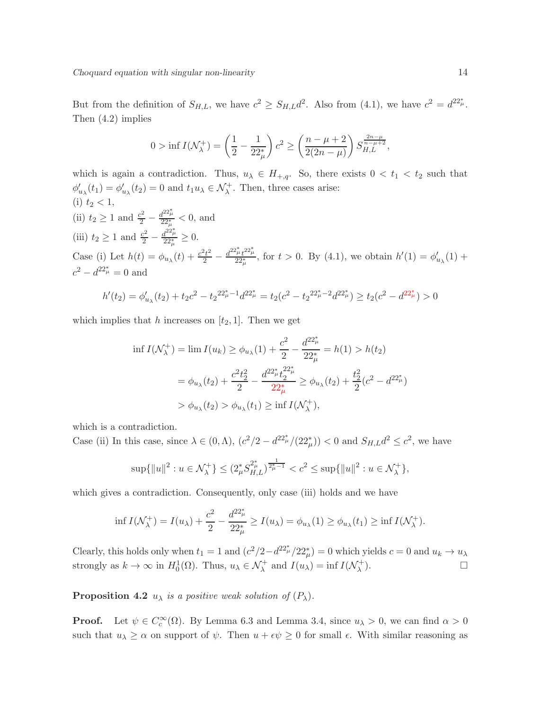But from the definition of  $S_{H,L}$ , we have  $c^2 \geq S_{H,L} d^2$ . Also from (4.1), we have  $c^2 = d^{22^*_{\mu}}$ . Then (4.2) implies

$$
0 > \inf I(\mathcal{N}_{\lambda}^{+}) = \left(\frac{1}{2} - \frac{1}{22_{\mu}^{*}}\right) c^{2} \ge \left(\frac{n - \mu + 2}{2(2n - \mu)}\right) S_{H,L}^{\frac{2n - \mu}{n - \mu + 2}},
$$

which is again a contradiction. Thus,  $u_{\lambda} \in H_{+,q}$ . So, there exists  $0 < t_1 < t_2$  such that  $\phi'_{u_{\lambda}}(t_1) = \phi'_{u_{\lambda}}(t_2) = 0$  and  $t_1 u_{\lambda} \in \mathcal{N}_{\lambda}^+$ . Then, three cases arise: (i)  $t_2 < 1$ , (ii)  $t_2 \ge 1$  and  $\frac{c^2}{2} - \frac{d^{22\frac{a}{\mu}}}{22\frac{a}{\mu}} < 0$ , and (iii)  $t_2 \geq 1$  and  $\frac{c^2}{2} - \frac{d^{22} \mu}{22 \mu}$  $\frac{1-\mu}{22^*_{\mu}} \geq 0.$ Case (i) Let  $h(t) = \phi_{u_\lambda}(t) + \frac{c^2 t^2}{2} - \frac{d^{22} \mu_t t^{22} \mu}{22 \mu_t}$ , for  $t > 0$ . By (4.1), we obtain  $h'(1) = \phi'_{u_\lambda}(1) +$  $c^2 - d^{22^* \mu}_{\mu} = 0$  and

$$
h'(t_2) = \phi'_{u_\lambda}(t_2) + t_2 c^2 - t_2^{2\frac{u_\lambda}{\mu} - 1} d^{2\frac{u_\lambda}{\mu}} = t_2 (c^2 - t_2^{2\frac{u_\lambda}{\mu} - 2} d^{2\frac{u_\lambda}{\mu}}) \ge t_2 (c^2 - d^{2\frac{u_\lambda}{\mu}}) > 0
$$

which implies that h increases on  $[t_2, 1]$ . Then we get

$$
\inf I(\mathcal{N}_{\lambda}^{+}) = \lim I(u_{k}) \ge \phi_{u_{\lambda}}(1) + \frac{c^{2}}{2} - \frac{d^{22} \mu}{22 \mu} = h(1) > h(t_{2})
$$
\n
$$
= \phi_{u_{\lambda}}(t_{2}) + \frac{c^{2} t_{2}^{2}}{2} - \frac{d^{22} \mu t_{2}^{2}}{22 \mu} \ge \phi_{u_{\lambda}}(t_{2}) + \frac{t_{2}^{2}}{2} (c^{2} - d^{22} \mu)
$$
\n
$$
> \phi_{u_{\lambda}}(t_{2}) > \phi_{u_{\lambda}}(t_{1}) \ge \inf I(\mathcal{N}_{\lambda}^{+}),
$$

which is a contradiction.

Case (ii) In this case, since  $\lambda \in (0, \Lambda)$ ,  $(c^2/2 - d^{22^*_{\mu}}/(22^*_{\mu}))$  < 0 and  $S_{H,L}d^2 \le c^2$ , we have

$$
\sup\{\|u\|^2: u \in \mathcal{N}_{\lambda}^+\} \le (2_{\mu}^* S_{H,L}^{2_{\mu}^*})^{\frac{1}{2_{\mu}^*}-1} < c^2 \le \sup\{\|u\|^2: u \in \mathcal{N}_{\lambda}^+\},\
$$

which gives a contradiction. Consequently, only case (iii) holds and we have

$$
\inf I(\mathcal{N}_{\lambda}^{+}) = I(u_{\lambda}) + \frac{c^{2}}{2} - \frac{d^{22} \mu}{22 \mu} \ge I(u_{\lambda}) = \phi_{u_{\lambda}}(1) \ge \phi_{u_{\lambda}}(t_{1}) \ge \inf I(\mathcal{N}_{\lambda}^{+}).
$$

Clearly, this holds only when  $t_1 = 1$  and  $(c^2/2 - d^{22^*_{\mu}}/22^*_{\mu}) = 0$  which yields  $c = 0$  and  $u_k \to u_\lambda$ strongly as  $k \to \infty$  in  $H_0^1(\Omega)$ . Thus,  $u_\lambda \in \mathcal{N}^+_\lambda$  and  $I(u_\lambda) = \inf I(\mathcal{N}^+_\lambda)$ λ  $\Box$ 

**Proposition 4.2**  $u_{\lambda}$  is a positive weak solution of  $(P_{\lambda})$ .

**Proof.** Let  $\psi \in C_c^{\infty}(\Omega)$ . By Lemma 6.3 and Lemma 3.4, since  $u_{\lambda} > 0$ , we can find  $\alpha > 0$ such that  $u_{\lambda} \ge \alpha$  on support of  $\psi$ . Then  $u + \epsilon \psi \ge 0$  for small  $\epsilon$ . With similar reasoning as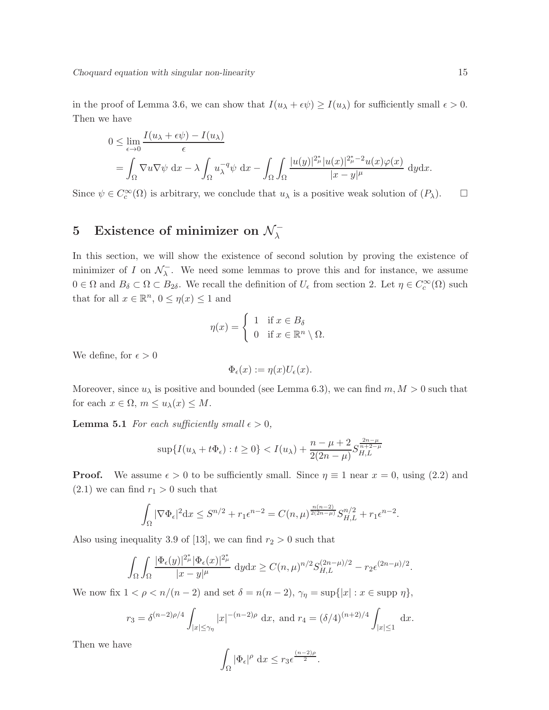in the proof of Lemma 3.6, we can show that  $I(u_\lambda + \epsilon \psi) \ge I(u_\lambda)$  for sufficiently small  $\epsilon > 0$ . Then we have

$$
0 \leq \lim_{\epsilon \to 0} \frac{I(u_{\lambda} + \epsilon \psi) - I(u_{\lambda})}{\epsilon}
$$
  
=  $\int_{\Omega} \nabla u \nabla \psi \, dx - \lambda \int_{\Omega} u_{\lambda}^{-q} \psi \, dx - \int_{\Omega} \int_{\Omega} \frac{|u(y)|^{2_{\mu}^{*}} |u(x)|^{2_{\mu}^{*}} - 2u(x) \varphi(x)}{|x - y|^{\mu}} dy dx.$ 

Since  $\psi \in C_c^{\infty}(\Omega)$  is arbitrary, we conclude that  $u_{\lambda}$  is a positive weak solution of  $(P_{\lambda})$ .  $\Box$ 

## 5 Existence of minimizer on  $\mathcal{N}_{\lambda}^{-}$

In this section, we will show the existence of second solution by proving the existence of minimizer of I on  $\mathcal{N}_\lambda^ \overline{\lambda}$ . We need some lemmas to prove this and for instance, we assume  $0 \in \Omega$  and  $B_{\delta} \subset \Omega \subset B_{2\delta}$ . We recall the definition of  $U_{\epsilon}$  from section 2. Let  $\eta \in C_c^{\infty}(\Omega)$  such that for all  $x \in \mathbb{R}^n$ ,  $0 \leq \eta(x) \leq 1$  and

$$
\eta(x) = \begin{cases} 1 & \text{if } x \in B_{\delta} \\ 0 & \text{if } x \in \mathbb{R}^n \setminus \Omega. \end{cases}
$$

We define, for  $\epsilon > 0$ 

$$
\Phi_{\epsilon}(x) := \eta(x) U_{\epsilon}(x).
$$

Moreover, since  $u_{\lambda}$  is positive and bounded (see Lemma 6.3), we can find  $m, M > 0$  such that for each  $x \in \Omega$ ,  $m \le u_\lambda(x) \le M$ .

**Lemma 5.1** For each sufficiently small  $\epsilon > 0$ ,

$$
\sup\{I(u_{\lambda} + t\Phi_{\epsilon}) : t \ge 0\} < I(u_{\lambda}) + \frac{n - \mu + 2}{2(2n - \mu)} S_{H,L}^{\frac{2n - \mu}{n + 2 - \mu}}
$$

**Proof.** We assume  $\epsilon > 0$  to be sufficiently small. Since  $\eta \equiv 1$  near  $x = 0$ , using (2.2) and  $(2.1)$  we can find  $r_1 > 0$  such that

$$
\int_{\Omega} |\nabla \Phi_{\epsilon}|^2 dx \leq S^{n/2} + r_1 \epsilon^{n-2} = C(n,\mu)^{\frac{n(n-2)}{2(2n-\mu)}} S_{H,L}^{n/2} + r_1 \epsilon^{n-2}.
$$

Also using inequality 3.9 of [13], we can find  $r_2 > 0$  such that

$$
\int_{\Omega} \int_{\Omega} \frac{|\Phi_{\epsilon}(y)|^{2_{\mu}^{\ast}} |\Phi_{\epsilon}(x)|^{2_{\mu}^{\ast}}}{|x-y|^{\mu}} \, \mathrm{d}y \mathrm{d}x \ge C(n,\mu)^{n/2} S_{H,L}^{(2n-\mu)/2} - r_2 \epsilon^{(2n-\mu)/2}.
$$

We now fix  $1 < \rho < n/(n-2)$  and set  $\delta = n(n-2)$ ,  $\gamma_{\eta} = \sup\{|x| : x \in \text{supp }\eta\},\$ 

$$
r_3 = \delta^{(n-2)\rho/4} \int_{|x| \le \gamma_\eta} |x|^{-(n-2)\rho} dx, \text{ and } r_4 = (\delta/4)^{(n+2)/4} \int_{|x| \le 1} dx.
$$

Then we have

$$
\int_{\Omega} |\Phi_{\epsilon}|^{\rho} dx \leq r_3 \epsilon^{\frac{(n-2)\rho}{2}}.
$$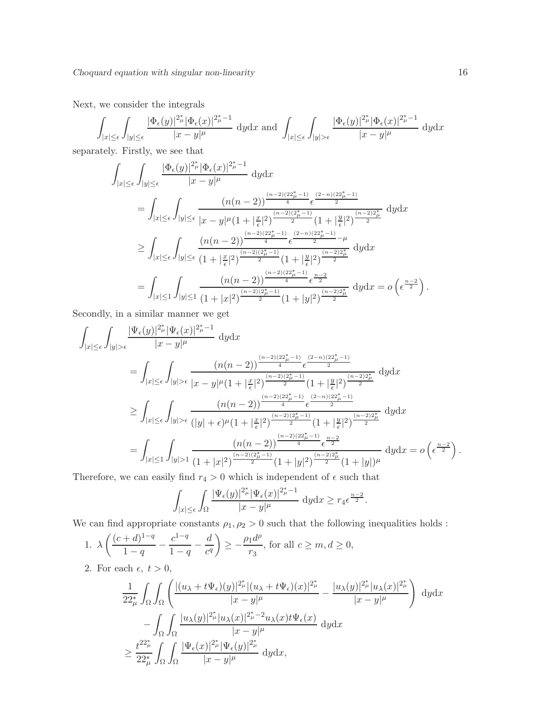Next, we consider the integrals

$$
\int_{|x| \le \epsilon} \int_{|y| \le \epsilon} \frac{|\Phi_{\epsilon}(y)|^{2_{\mu}^{\ast}} |\Phi_{\epsilon}(x)|^{2_{\mu}^{\ast}-1}}{|x-y|^{\mu}} \, dy \mathrm{d}x \text{ and } \int_{|x| \le \epsilon} \int_{|y| > \epsilon} \frac{|\Phi_{\epsilon}(y)|^{2_{\mu}^{\ast}} |\Phi_{\epsilon}(x)|^{2_{\mu}^{\ast}-1}}{|x-y|^{\mu}} \, dy \mathrm{d}x
$$

separately. Firstly, we see that

$$
\int_{|x| \leq \epsilon} \int_{|y| \leq \epsilon} \frac{|\Phi_{\epsilon}(y)|^{2_{\mu}^{\ast}}|\Phi_{\epsilon}(x)|^{2_{\mu}^{\ast}-1}}{|x-y|^{\mu}} d y d x
$$
\n
$$
= \int_{|x| \leq \epsilon} \int_{|y| \leq \epsilon} \frac{(n(n-2))^{\frac{(n-2)(22_{\mu}^{\ast}-1)}{4}} e^{\frac{(2-n)(22_{\mu}^{\ast}-1)}{2}}}{|x-y|^{\mu}(1+|\frac{x}{\epsilon}|^{2})^{\frac{(n-2)(2\mu^{\ast}-1)}{2}}(1+|\frac{y}{\epsilon}|^{2})^{\frac{(n-2)2_{\mu}^{\ast}}{2}} d y d x
$$
\n
$$
\geq \int_{|x| \leq \epsilon} \int_{|y| \leq \epsilon} \frac{(n(n-2))^{\frac{(n-2)(22_{\mu}^{\ast}-1)}{4}} e^{\frac{(2-n)(22_{\mu}^{\ast}-1)}{2}}}{(1+|\frac{y}{\epsilon}|^{2})^{\frac{(n-2)2\mu^{\ast}}{2}}} d y d x
$$
\n
$$
= \int_{|x| \leq 1} \int_{|y| \leq 1} \frac{(n(n-2))^{\frac{(n-2)(22_{\mu}^{\ast}-1)}{4}}}{(1+|x|^{2})^{\frac{(n-2)(22_{\mu}^{\ast}-1)}{2}} (1+|y|^{2})^{\frac{(n-2)2\mu^{\ast}}{2}}} d y d x = o\left(\epsilon^{\frac{n-2}{2}}\right).
$$

Secondly, in a similar manner we get

$$
\int_{|x| \leq \epsilon} \int_{|y| > \epsilon} \frac{|\Psi_{\epsilon}(y)|^{2_{\mu}^{\ast}} |\Psi_{\epsilon}(x)|^{2_{\mu}^{\ast}-1}}{|x-y|^{\mu}} \; \mathrm{d}y \mathrm{d}x
$$
\n
$$
= \int_{|x| \leq \epsilon} \int_{|y| > \epsilon} \frac{(n(n-2))^{\frac{(n-2)(22_{\mu}^{\ast}-1)}{4}} e^{\frac{(2-n)(22_{\mu}^{\ast}-1)}{2}}}{|x-y|^{\mu}(1+|\frac{x}{\epsilon}|^{2})^{\frac{(n-2)(2\mu^{\ast}-1)}{2}} (1+|\frac{y}{\epsilon}|^{2})^{\frac{(n-2)2_{\mu}^{\ast}}{2}} \; \mathrm{d}y \mathrm{d}x
$$
\n
$$
\geq \int_{|x| \leq \epsilon} \int_{|y| > \epsilon} \frac{(n(n-2))^{\frac{(n-2)(22_{\mu}^{\ast}-1)}{4}} e^{\frac{(2-n)(22_{\mu}^{\ast}-1)}{2}}}{(|y|+\epsilon)^{\mu}(1+|\frac{x}{\epsilon}|^{2})^{\frac{(n-2)(2\mu^{\ast}-1)}{2}} (1+|\frac{y}{\epsilon}|^{2})^{\frac{(n-2)2_{\mu}^{\ast}}{2}} \; \mathrm{d}y \mathrm{d}x}
$$
\n
$$
= \int_{|x| \leq 1} \int_{|y| > 1} \frac{(n(n-2))^{\frac{(n-2)(22_{\mu}^{\ast}-1)}{4}} e^{\frac{n-2}{2}}}{(1+|y|^{2})^{\frac{(n-2)2_{\mu}^{\ast}}{2}} (1+|y|)^{\mu}} \; \mathrm{d}y \mathrm{d}x = o\left(\epsilon^{\frac{n-2}{2}}\right).
$$
\nTherefore, we can easily find  $x > 0$ , which is independent of  $\epsilon$  such that

Therefore, we can easily find  $r_4>0$  which is independent of  $\epsilon$  such that

$$
\int_{|x|\leq \epsilon} \int_{\Omega} \frac{|\Psi_{\epsilon}(y)|^{2\mu}_{\mu} |\Psi_{\epsilon}(x)|^{2\mu}_{\mu}-1}{|x-y|^{\mu}} \, \mathrm{d}y \mathrm{d}x \geq r_4 \epsilon^{\frac{n-2}{2}}.
$$

We can find appropriate constants  $\rho_1, \rho_2 > 0$  such that the following inequalities holds :

1. 
$$
\lambda \left( \frac{(c+d)^{1-q}}{1-q} - \frac{c^{1-q}}{1-q} - \frac{d}{c^q} \right) \ge -\frac{\rho_1 d^{\rho}}{r_3}
$$
, for all  $c \ge m, d \ge 0$ ,

2. For each  $\epsilon, t > 0$ ,

$$
\frac{1}{22_{\mu}^{*}} \int_{\Omega} \int_{\Omega} \left( \frac{|(u_{\lambda} + t\Psi_{\epsilon})(y)|^{2_{\mu}^{*}} |(u_{\lambda} + t\Psi_{\epsilon})(x)|^{2_{\mu}^{*}}}{|x - y|^{\mu}} - \frac{|u_{\lambda}(y)|^{2_{\mu}^{*}} |u_{\lambda}(x)|^{2_{\mu}^{*}}}{|x - y|^{\mu}} \right) dy dx
$$
  

$$
- \int_{\Omega} \int_{\Omega} \frac{|u_{\lambda}(y)|^{2_{\mu}^{*}} |u_{\lambda}(x)|^{2_{\mu}^{*} - 2} u_{\lambda}(x) t\Psi_{\epsilon}(x)}{|x - y|^{\mu}} dy dx
$$
  

$$
\geq \frac{t^{22_{\mu}^{*}}}{22_{\mu}^{*}} \int_{\Omega} \int_{\Omega} \frac{|\Psi_{\epsilon}(x)|^{2_{\mu}^{*}} |\Psi_{\epsilon}(y)|^{2_{\mu}^{*}}}{|x - y|^{\mu}} dy dx,
$$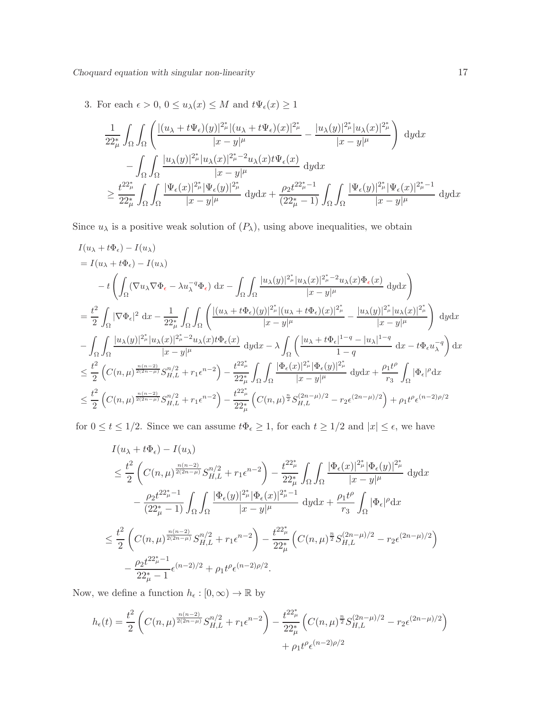3. For each  $\epsilon > 0$ ,  $0 \le u_{\lambda}(x) \le M$  and  $t\Psi_{\epsilon}(x) \ge 1$ 

$$
\frac{1}{22_{\mu}^{*}}\int_{\Omega}\int_{\Omega}\left(\frac{|(u_{\lambda}+t\Psi_{\epsilon})(y)|^{2_{\mu}^{*}}|(u_{\lambda}+t\Psi_{\epsilon})(x)|^{2_{\mu}^{*}}}{|x-y|^{\mu}}-\frac{|u_{\lambda}(y)|^{2_{\mu}^{*}}|u_{\lambda}(x)|^{2_{\mu}^{*}}}{|x-y|^{\mu}}\right)dydx
$$
\n
$$
-\int_{\Omega}\int_{\Omega}\frac{|u_{\lambda}(y)|^{2_{\mu}^{*}}|u_{\lambda}(x)|^{2_{\mu}^{*}-2}u_{\lambda}(x)t\Psi_{\epsilon}(x)}{|x-y|^{\mu}}dydx
$$
\n
$$
\geq \frac{t^{22_{\mu}^{*}}}{22_{\mu}^{*}}\int_{\Omega}\int_{\Omega}\frac{|\Psi_{\epsilon}(x)|^{2_{\mu}^{*}}|\Psi_{\epsilon}(y)|^{2_{\mu}^{*}}}{|x-y|^{\mu}}dydx+\frac{\rho_{2}t^{22_{\mu}^{*}-1}}{(22_{\mu}^{*}-1)}\int_{\Omega}\int_{\Omega}\frac{|\Psi_{\epsilon}(y)|^{2_{\mu}^{*}}|\Psi_{\epsilon}(x)|^{2_{\mu}^{*}-1}}{|x-y|^{\mu}}dydx
$$

Since  $u_{\lambda}$  is a positive weak solution of  $(P_{\lambda})$ , using above inequalities, we obtain

$$
I(u_{\lambda} + t\Phi_{\epsilon}) - I(u_{\lambda})
$$
\n
$$
= I(u_{\lambda} + t\Phi_{\epsilon}) - I(u_{\lambda})
$$
\n
$$
- t \left( \int_{\Omega} (\nabla u_{\lambda} \nabla \Phi_{\epsilon} - \lambda u_{\lambda}^{-q} \Phi_{\epsilon}) dx - \int_{\Omega} \int_{\Omega} \frac{|u_{\lambda}(y)|^{2_{\mu}^{*}} |u_{\lambda}(x)|^{2_{\mu}^{*}-2} u_{\lambda}(x) \Phi_{\epsilon}(x)}{|x-y|^{\mu}} dy dx \right)
$$
\n
$$
= \frac{t^{2}}{2} \int_{\Omega} |\nabla \Phi_{\epsilon}|^{2} dx - \frac{1}{2^{2_{\mu}^{*}}} \int_{\Omega} \int_{\Omega} \left( \frac{|(u_{\lambda} + t\Phi_{\epsilon})(y)|^{2_{\mu}^{*}} |(u_{\lambda} + t\Phi_{\epsilon})(x)|^{2_{\mu}^{*}}}{|x-y|^{\mu}} - \frac{|u_{\lambda}(y)|^{2_{\mu}^{*}} |u_{\lambda}(x)|^{2_{\mu}^{*}}}{|x-y|^{\mu}} \right) dy dx
$$
\n
$$
- \int_{\Omega} \int_{\Omega} \frac{|u_{\lambda}(y)|^{2_{\mu}^{*}} |u_{\lambda}(x)|^{2_{\mu}^{*}-2} u_{\lambda}(x) t\Phi_{\epsilon}(x)}{|x-y|^{\mu}} dy dx - \lambda \int_{\Omega} \left( \frac{|u_{\lambda} + t\Phi_{\epsilon}|^{1-q} - |u_{\lambda}|^{1-q}}{1-q} dx - t\Phi_{\epsilon} u_{\lambda}^{-q} \right) dx
$$
\n
$$
\leq \frac{t^{2}}{2} \left( C(n, \mu)^{\frac{n(n-2)}{2(2n-\mu)}} S_{H,L}^{n/2} + r_{1} \epsilon^{n-2} \right) - \frac{t^{22_{\mu}^{*}}}{22_{\mu}^{*}} \int_{\Omega} \int_{\Omega} \frac{|\Phi_{\epsilon}(x)|^{2_{\mu}^{*}} |\Phi_{\epsilon}(y)|^{2_{\mu}^{*}}}{|x-y|^{\mu}} dy dx + \frac{\rho_{1} t^{\rho}}{r_{3}} \int_{\Omega} |\Phi_{\epsilon}|^{\rho} dx
$$
\n
$$
\leq \frac{t^{2}}{2} \left( C(n, \mu)^{\frac{n(n-2)}{2(2n
$$

for  $0 \le t \le 1/2$ . Since we can assume  $t\Phi_{\epsilon} \ge 1$ , for each  $t \ge 1/2$  and  $|x| \le \epsilon$ , we have

$$
I(u_{\lambda} + t\Phi_{\epsilon}) - I(u_{\lambda})
$$
\n
$$
\leq \frac{t^{2}}{2} \left( C(n, \mu)^{\frac{n(n-2)}{2(2n-\mu)}} S_{H,L}^{n/2} + r_{1} \epsilon^{n-2} \right) - \frac{t^{22}^{*}_{\mu}}{22^{*}_{\mu}} \int_{\Omega} \int_{\Omega} \frac{|\Phi_{\epsilon}(x)|^{2^{*}_{\mu}} |\Phi_{\epsilon}(y)|^{2^{*}_{\mu}}}{|x - y|^{\mu}} dy dx
$$
\n
$$
- \frac{\rho_{2} t^{22^{*}_{\mu}-1}}{(22^{*}_{\mu}-1)} \int_{\Omega} \int_{\Omega} \frac{|\Phi_{\epsilon}(y)|^{2^{*}_{\mu}} |\Phi_{\epsilon}(x)|^{2^{*}_{\mu}-1}}{|x - y|^{\mu}} dy dx + \frac{\rho_{1} t^{\rho}}{r_{3}} \int_{\Omega} |\Phi_{\epsilon}|^{\rho} dx
$$
\n
$$
\leq \frac{t^{2}}{2} \left( C(n, \mu)^{\frac{n(n-2)}{2(2n-\mu)}} S_{H,L}^{n/2} + r_{1} \epsilon^{n-2} \right) - \frac{t^{22^{*}_{\mu}}}{22^{*}_{\mu}} \left( C(n, \mu)^{\frac{n}{2}} S_{H,L}^{(2n-\mu)/2} - r_{2} \epsilon^{(2n-\mu)/2} \right)
$$
\n
$$
- \frac{\rho_{2} t^{22^{*}_{\mu}-1}}{22^{*}_{\mu}} \epsilon^{(n-2)/2} + \rho_{1} t^{\rho} \epsilon^{(n-2)\rho/2}.
$$

Now, we define a function  $h_\epsilon: [0, \infty) \to \mathbb{R}$  by

$$
h_{\epsilon}(t) = \frac{t^2}{2} \left( C(n,\mu)^{\frac{n(n-2)}{2(2n-\mu)}} S_{H,L}^{n/2} + r_1 \epsilon^{n-2} \right) - \frac{t^{22\mu}_{\mu}}{22\mu} \left( C(n,\mu)^{\frac{n}{2}} S_{H,L}^{(2n-\mu)/2} - r_2 \epsilon^{(2n-\mu)/2} \right) + \rho_1 t^{\rho} \epsilon^{(n-2)\rho/2}
$$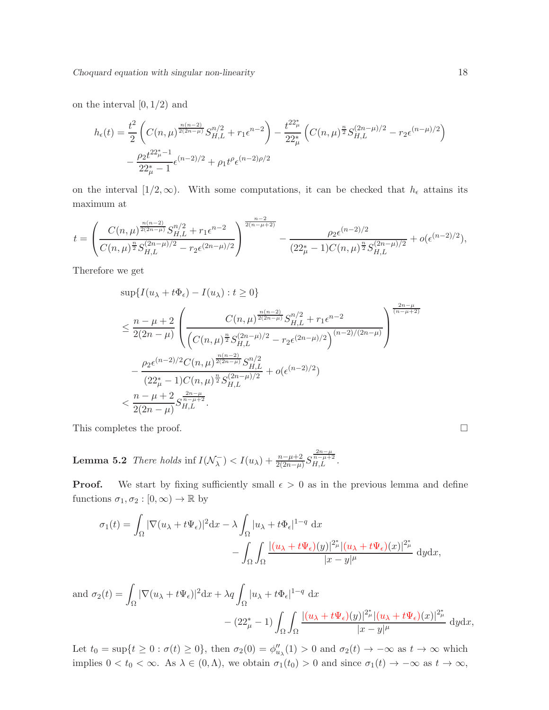on the interval  $[0, 1/2)$  and

$$
h_{\epsilon}(t) = \frac{t^2}{2} \left( C(n,\mu)^{\frac{n(n-2)}{2(2n-\mu)}} S_{H,L}^{n/2} + r_1 \epsilon^{n-2} \right) - \frac{t^{22\mu}_{\mu}}{22\mu} \left( C(n,\mu)^{\frac{n}{2}} S_{H,L}^{(2n-\mu)/2} - r_2 \epsilon^{(n-\mu)/2} \right)
$$

$$
- \frac{\rho_2 t^{22\mu}_{\mu} - 1}{22\mu_{\mu}^{\mu} - 1} \epsilon^{(n-2)/2} + \rho_1 t^{\rho} \epsilon^{(n-2)\rho/2}
$$

on the interval  $[1/2,\infty)$ . With some computations, it can be checked that  $h_{\epsilon}$  attains its maximum at

$$
t = \left(\frac{C(n,\mu)^{\frac{n(n-2)}{2(2n-\mu)}}S_{H,L}^{n/2} + r_1\epsilon^{n-2}}{C(n,\mu)^{\frac{n}{2}}S_{H,L}^{(2n-\mu)/2} - r_2\epsilon^{(2n-\mu)/2}}\right)^{\frac{n-2}{2(n-\mu+2)}} - \frac{\rho_2\epsilon^{(n-2)/2}}{(22^*_{\mu}-1)C(n,\mu)^{\frac{n}{2}}S_{H,L}^{(2n-\mu)/2}} + o(\epsilon^{(n-2)/2}),
$$

Therefore we get

$$
\sup\{I(u_{\lambda} + t\Phi_{\epsilon}) - I(u_{\lambda}) : t \ge 0\}
$$
\n
$$
\le \frac{n - \mu + 2}{2(2n - \mu)} \left( \frac{C(n, \mu)^{\frac{n(n-2)}{2(n-\mu)}} S_{H,L}^{n/2} + r_1 \epsilon^{n-2}}{(C(n, \mu)^{\frac{n}{2}} S_{H,L}^{(2n-\mu)/2} - r_2 \epsilon^{(2n-\mu)/2})} \right)^{\frac{2n-\mu}{(n-\mu+2)}}
$$
\n
$$
- \frac{\rho_2 \epsilon^{(n-2)/2} C(n, \mu)^{\frac{n(n-2)}{2(2n-\mu)}} S_{H,L}^{n/2}}{(22_{\mu}^* - 1)C(n, \mu)^{\frac{n}{2}} S_{H,L}^{(2n-\mu)/2}} + o(\epsilon^{(n-2)/2})
$$
\n
$$
< \frac{n - \mu + 2}{2(2n - \mu)} S_{H,L}^{\frac{2n-\mu}{n-\mu+2}}.
$$

This completes the proof.  $\Box$ 

**Lemma 5.2** There holds inf  $I(\mathcal{N}_\lambda^-)$  $\left( \frac{1}{\lambda} \right) < I(u_{\lambda}) + \frac{n - \mu + 2}{2(2n - \mu)} S$  $\frac{\frac{2n-\mu}{n-\mu+2}}{H,L}$ .

**Proof.** We start by fixing sufficiently small  $\epsilon > 0$  as in the previous lemma and define functions  $\sigma_1, \sigma_2 : [0, \infty) \to \mathbb{R}$  by

$$
\sigma_1(t) = \int_{\Omega} |\nabla(u_\lambda + t\Psi_\epsilon)|^2 dx - \lambda \int_{\Omega} |u_\lambda + t\Phi_\epsilon|^{1-q} dx
$$

$$
- \int_{\Omega} \int_{\Omega} \frac{|(u_\lambda + t\Psi_\epsilon)(y)|^{2\mu} |(u_\lambda + t\Psi_\epsilon)(x)|^{2\mu}}{|x - y|^{\mu}} dy dx,
$$

and  $\sigma_2(t) = \sqrt{2}$ Ω  $|\nabla(u_\lambda + t\Psi_\epsilon)|^2 dx + \lambda q$ Ω  $|u_{\lambda} + t \Phi_{\epsilon}|^{1-q} dx$  $- (22^*_{\mu} - 1) \int_{\Omega}$ Z Ω  $|(u_\lambda+t\Psi_\epsilon)(y)|^{2_\mu^*}|(u_\lambda+t\Psi_\epsilon)(x)|^{2_\mu^*}$  $\frac{|x-y|^{\mu}}{|x-y|^{\mu}}$ 

Let  $t_0 = \sup\{t \ge 0 : \sigma(t) \ge 0\}$ , then  $\sigma_2(0) = \phi''_{u_\lambda}(1) > 0$  and  $\sigma_2(t) \to -\infty$  as  $t \to \infty$  which implies  $0 < t_0 < \infty$ . As  $\lambda \in (0, \Lambda)$ , we obtain  $\sigma_1(t_0) > 0$  and since  $\sigma_1(t) \to -\infty$  as  $t \to \infty$ ,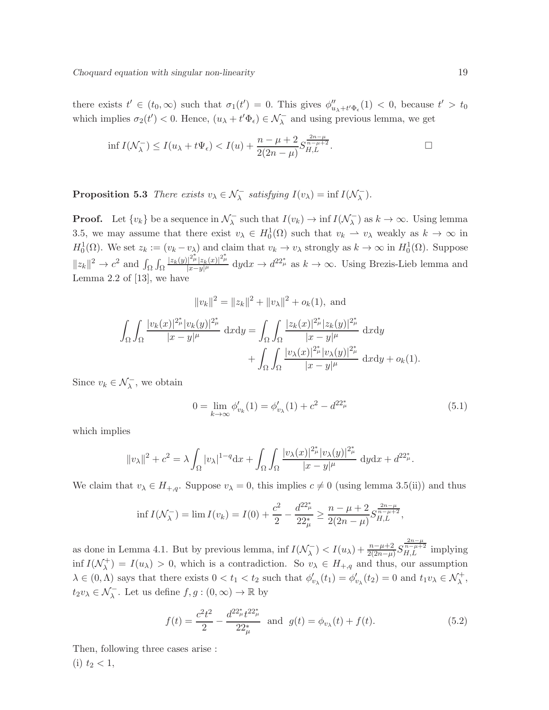there exists  $t' \in (t_0, \infty)$  such that  $\sigma_1(t') = 0$ . This gives  $\phi''_{u_{\lambda} + t' \Phi_{\epsilon}}(1) < 0$ , because  $t' > t_0$ which implies  $\sigma_2(t') < 0$ . Hence,  $(u_\lambda + t' \Phi_\epsilon) \in \mathcal{N}_\lambda^-$  and using previous lemma, we get

$$
\inf I(\mathcal{N}_{\lambda}^-) \le I(u_{\lambda} + t\Psi_{\epsilon}) < I(u) + \frac{n - \mu + 2}{2(2n - \mu)} S_{H,L}^{\frac{2n - \mu}{n - \mu + 2}}.
$$

**Proposition 5.3** There exists  $v_{\lambda} \in \mathcal{N}_{\lambda}^-$  satisfying  $I(v_{\lambda}) = \inf I(\mathcal{N}_{\lambda}^-)$  $\frac{1}{\lambda}$ ).

**Proof.** Let  $\{v_k\}$  be a sequence in  $\mathcal{N}_{\lambda}^ \overline{\lambda}$  such that  $I(v_k) \to \inf I(\mathcal{N}_{\lambda}^-)$  $\binom{K}{\lambda}$  as  $k \to \infty$ . Using lemma 3.5, we may assume that there exist  $v_{\lambda} \in H_0^1(\Omega)$  such that  $v_k \to v_{\lambda}$  weakly as  $k \to \infty$  in  $H_0^1(\Omega)$ . We set  $z_k := (v_k - v_\lambda)$  and claim that  $v_k \to v_\lambda$  strongly as  $k \to \infty$  in  $H_0^1(\Omega)$ . Suppose  $v_0^1(\Omega)$ . We set  $z_k := (v_k - v_\lambda)$  and claim that  $v_k \to v_\lambda$  strongly as  $k \to \infty$  in  $H_0^1(\Omega)$ . Suppose  $||z_k||^2 \to c^2$  and  $\int_{\Omega} \int_{\Omega}$  $|z_k(y)|^{2_{\mu}^*} |z_k(x)|^{2_{\mu}^*}$  $\frac{|A^2\mu|z_k(x)|^{2\mu}}{|x-y|^{\mu}} dydx \to d^{22^*_{\mu}}$  as  $k \to \infty$ . Using Brezis-Lieb lemma and Lemma 2.2 of [13], we have

$$
||v_k||^2 = ||z_k||^2 + ||v_\lambda||^2 + o_k(1), \text{ and}
$$
  

$$
\int_{\Omega} \int_{\Omega} \frac{|v_k(x)|^{2_{\mu}^*} |v_k(y)|^{2_{\mu}^*}}{|x - y|^{\mu}} dxdy = \int_{\Omega} \int_{\Omega} \frac{|z_k(x)|^{2_{\mu}^*} |z_k(y)|^{2_{\mu}^*}}{|x - y|^{\mu}} dxdy
$$
  

$$
+ \int_{\Omega} \int_{\Omega} \frac{|v_\lambda(x)|^{2_{\mu}^*} |v_\lambda(y)|^{2_{\mu}^*}}{|x - y|^{\mu}} dxdy + o_k(1).
$$

Since  $v_k \in \mathcal{N}_\lambda^-$ , we obtain

$$
0 = \lim_{k \to \infty} \phi'_{v_k}(1) = \phi'_{v_\lambda}(1) + c^2 - d^{22^*_{\mu}} \tag{5.1}
$$

which implies

$$
||v_{\lambda}||^{2} + c^{2} = \lambda \int_{\Omega} |v_{\lambda}|^{1-q} dx + \int_{\Omega} \int_{\Omega} \frac{|v_{\lambda}(x)|^{2\mu} |v_{\lambda}(y)|^{2\mu}}{|x - y|^{\mu}} dy dx + d^{22\mu}.
$$

We claim that  $v_{\lambda} \in H_{+,q}$ . Suppose  $v_{\lambda} = 0$ , this implies  $c \neq 0$  (using lemma 3.5(ii)) and thus

$$
\inf I(\mathcal{N}_{\lambda}^{-}) = \lim I(v_k) = I(0) + \frac{c^2}{2} - \frac{d^{22_{\mu}^{*}}}{22_{\mu}^{*}} \ge \frac{n - \mu + 2}{2(2n - \mu)} S_{H,L}^{\frac{2n - \mu}{n - \mu + 2}},
$$

as done in Lemma 4.1. But by previous lemma, inf  $I(\mathcal{N}_\lambda^-)$  $\mathcal{L}_{\lambda}^{-}$ ) <  $I(u_{\lambda}) + \frac{n - \mu + 2}{2(2n - \mu)} S$  $rac{\frac{2n-\mu}{n-\mu+2}}{H,L}$  implying inf  $I(\mathcal{N}_{\lambda}^+)$  $\lambda^{+}_{\lambda}$ ) =  $I(u_{\lambda}) > 0$ , which is a contradiction. So  $v_{\lambda} \in H_{+,q}$  and thus, our assumption  $\lambda \in (0, \Lambda)$  says that there exists  $0 < t_1 < t_2$  such that  $\phi'_{v_{\lambda}}(t_1) = \phi'_{v_{\lambda}}(t_2) = 0$  and  $t_1v_{\lambda} \in \mathcal{N}_{\lambda}^+$ ,  $t_2v_\lambda \in \mathcal{N}_\lambda^-$ . Let us define  $f, g : (0, \infty) \to \mathbb{R}$  by

$$
f(t) = \frac{c^2 t^2}{2} - \frac{d^{22_{\mu}^*} t^{22_{\mu}^*}}{22_{\mu}^*} \text{ and } g(t) = \phi_{v_{\lambda}}(t) + f(t). \tag{5.2}
$$

Then, following three cases arise : (i)  $t_2 < 1$ ,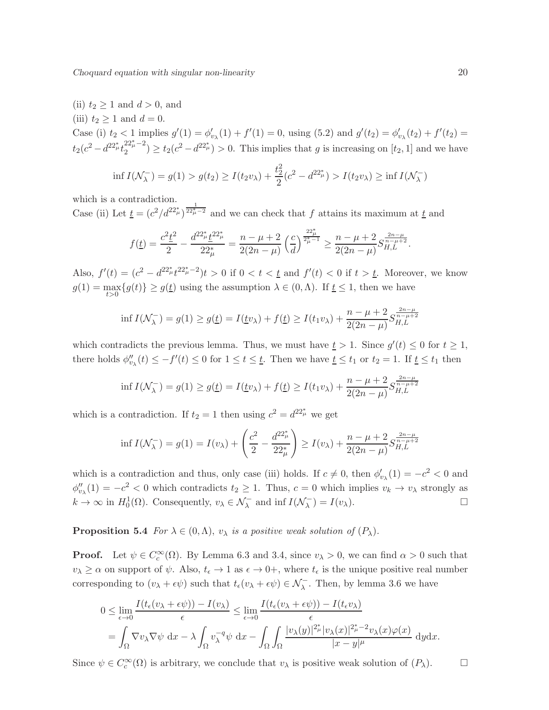(ii)  $t_2 \geq 1$  and  $d > 0$ , and (iii)  $t_2 \geq 1$  and  $d = 0$ . Case (i)  $t_2 < 1$  implies  $g'(1) = \phi'_{v_\lambda}(1) + f'(1) = 0$ , using (5.2) and  $g'(t_2) = \phi'_{v_\lambda}(t_2) + f'(t_2) = 0$  $t_2(c^2-d^{22^*_\mu}t_2^{22^*_\mu-2})$  $\binom{22^*_{\mu}-2}{2} \ge t_2(c^2 - d^{22^*_{\mu}}) > 0$ . This implies that g is increasing on [t<sub>2</sub>, 1] and we have 2

$$
\inf I(\mathcal{N}_{\lambda}^-) = g(1) > g(t_2) \ge I(t_2 v_{\lambda}) + \frac{t_2^2}{2} (c^2 - d^{22\mu}) > I(t_2 v_{\lambda}) \ge \inf I(\mathcal{N}_{\lambda}^-)
$$

which is a contradiction.

Case (ii) Let  $\underline{t} = (c^2/d^{22^*_{\mu}})^{\frac{1}{22^*_{\mu}-2}}$  and we can check that f attains its maximum at  $\underline{t}$  and

$$
f(\underline{t}) = \frac{c^2 \underline{t}^2}{2} - \frac{d^{22_{\mu}^*} \underline{t}^{22_{\mu}^*}}{22_{\mu}^*} = \frac{n - \mu + 2}{2(2n - \mu)} \left(\frac{c}{d}\right)^{\frac{22_{\mu}^*}{2_{\mu}^* - 1}} \ge \frac{n - \mu + 2}{2(2n - \mu)} S_{H,L}^{\frac{2n - \mu}{n - \mu + 2}}.
$$

Also,  $f'(t) = (c^2 - d^{22^*_{\mu}} t^{22^*_{\mu}-2})t > 0$  if  $0 < t < t$  and  $f'(t) < 0$  if  $t > t$ . Moreover, we know  $g(1) = \max_{t>0} \{g(t)\} \ge g(\underline{t})$  using the assumption  $\lambda \in (0, \Lambda)$ . If  $\underline{t} \le 1$ , then we have

$$
\inf I(\mathcal{N}_{\lambda}^-) = g(1) \ge g(\underline{t}) = I(\underline{t}v_{\lambda}) + f(\underline{t}) \ge I(t_1v_{\lambda}) + \frac{n - \mu + 2}{2(2n - \mu)} S_{H,L}^{\frac{2n - \mu}{n - \mu + 2}}
$$

which contradicts the previous lemma. Thus, we must have  $\underline{t} > 1$ . Since  $g'(t) \leq 0$  for  $t \geq 1$ , there holds  $\phi''_{v_{\lambda}}(t) \leq -f'(t) \leq 0$  for  $1 \leq t \leq \underline{t}$ . Then we have  $\underline{t} \leq t_1$  or  $t_2 = 1$ . If  $\underline{t} \leq t_1$  then

$$
\inf I(\mathcal{N}_{\lambda}^-) = g(1) \ge g(\underline{t}) = I(\underline{t}v_{\lambda}) + f(\underline{t}) \ge I(t_1v_{\lambda}) + \frac{n - \mu + 2}{2(2n - \mu)} S_{H,L}^{\frac{2n - \mu}{n - \mu + 2}}
$$

which is a contradiction. If  $t_2 = 1$  then using  $c^2 = d^{22^*_{\mu}}$  we get

$$
\inf I(\mathcal{N}_{\lambda}^{-}) = g(1) = I(v_{\lambda}) + \left(\frac{c^{2}}{2} - \frac{d^{22} \pi^{2}}{22 \pi^{2}}\right) \geq I(v_{\lambda}) + \frac{n - \mu + 2}{2(2n - \mu)} S_{H,L}^{\frac{2n - \mu}{n - \mu + 2}}
$$

which is a contradiction and thus, only case (iii) holds. If  $c \neq 0$ , then  $\phi'_{v_\lambda}(1) = -c^2 < 0$  and  $\phi''_{v_\lambda}(1) = -c^2 < 0$  which contradicts  $t_2 \geq 1$ . Thus,  $c = 0$  which implies  $v_k \to v_\lambda$  strongly as  $k \to \infty$  in  $H_0^1(\Omega)$ . Consequently,  $v_\lambda \in \mathcal{N}_\lambda^-$  and inf  $I(\mathcal{N}_\lambda^-)$  $\lambda^{-}$ ) =  $I(v_{\lambda})$ .

**Proposition 5.4** For  $\lambda \in (0, \Lambda)$ ,  $v_{\lambda}$  is a positive weak solution of  $(P_{\lambda})$ .

**Proof.** Let  $\psi \in C_c^{\infty}(\Omega)$ . By Lemma 6.3 and 3.4, since  $v_{\lambda} > 0$ , we can find  $\alpha > 0$  such that  $v_{\lambda} \geq \alpha$  on support of  $\psi$ . Also,  $t_{\epsilon} \to 1$  as  $\epsilon \to 0^+$ , where  $t_{\epsilon}$  is the unique positive real number corresponding to  $(v_\lambda + \epsilon \psi)$  such that  $t_\epsilon(v_\lambda + \epsilon \psi) \in \mathcal{N}_\lambda^-$ . Then, by lemma 3.6 we have

$$
0 \leq \lim_{\epsilon \to 0} \frac{I(t_{\epsilon}(v_{\lambda} + \epsilon \psi)) - I(v_{\lambda})}{\epsilon} \leq \lim_{\epsilon \to 0} \frac{I(t_{\epsilon}(v_{\lambda} + \epsilon \psi)) - I(t_{\epsilon}v_{\lambda})}{\epsilon}
$$
  
= 
$$
\int_{\Omega} \nabla v_{\lambda} \nabla \psi \, dx - \lambda \int_{\Omega} v_{\lambda}^{-q} \psi \, dx - \int_{\Omega} \int_{\Omega} \frac{|v_{\lambda}(y)|^{2_{\mu}^{\ast}} |v_{\lambda}(x)|^{2_{\mu}^{\ast} - 2} v_{\lambda}(x) \varphi(x)}{|x - y|^{\mu}} dy dx.
$$

Since  $\psi \in C_c^{\infty}(\Omega)$  is arbitrary, we conclude that  $v_{\lambda}$  is positive weak solution of  $(P_{\lambda})$ .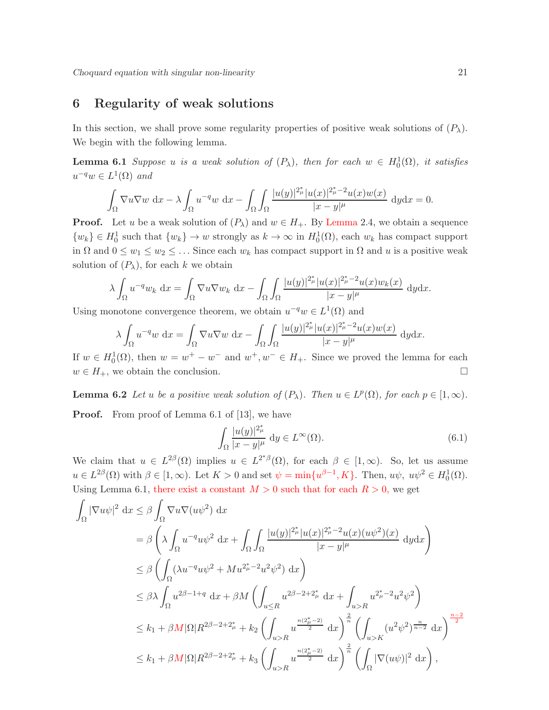## 6 Regularity of weak solutions

In this section, we shall prove some regularity properties of positive weak solutions of  $(P_\lambda)$ . We begin with the following lemma.

**Lemma 6.1** Suppose u is a weak solution of  $(P_\lambda)$ , then for each  $w \in H_0^1(\Omega)$ , it satisfies  $u^{-q}w \in L^1(\Omega)$  and

$$
\int_{\Omega} \nabla u \nabla w \, dx - \lambda \int_{\Omega} u^{-q} w \, dx - \int_{\Omega} \int_{\Omega} \frac{|u(y)|^{2_{\mu}^{\ast}} |u(x)|^{2_{\mu}^{\ast}-2} u(x) w(x)}{|x-y|^{\mu}} \, dy dx = 0.
$$

**Proof.** Let u be a weak solution of  $(P_\lambda)$  and  $w \in H_+$ . By Lemma 2.4, we obtain a sequence  $\{w_k\} \in H_0^1$  such that  $\{w_k\} \to w$  strongly as  $k \to \infty$  in  $H_0^1(\Omega)$ , each  $w_k$  has compact support in  $\Omega$  and  $0 \leq w_1 \leq w_2 \leq \ldots$  Since each  $w_k$  has compact support in  $\Omega$  and u is a positive weak solution of  $(P_\lambda)$ , for each k we obtain

$$
\lambda \int_{\Omega} u^{-q} w_k \, dx = \int_{\Omega} \nabla u \nabla w_k \, dx - \int_{\Omega} \int_{\Omega} \frac{|u(y)|^{2_{\mu}^{\ast}} |u(x)|^{2_{\mu}^{\ast} - 2} u(x) w_k(x)}{|x - y|^{\mu}} \, dy dx.
$$

Using monotone convergence theorem, we obtain  $u^{-q}w \in L^1(\Omega)$  and

$$
\lambda \int_{\Omega} u^{-q}w \, dx = \int_{\Omega} \nabla u \nabla w \, dx - \int_{\Omega} \int_{\Omega} \frac{|u(y)|^{2_{\mu}^{\ast}} |u(x)|^{2_{\mu}^{\ast}-2} u(x) w(x)}{|x-y|^{\mu}} \, dy dx.
$$

If  $w \in H_0^1(\Omega)$ , then  $w = w^+ - w^-$  and  $w^+, w^- \in H_+$ . Since we proved the lemma for each  $w \in H_+$ , we obtain the conclusion.

**Lemma 6.2** Let u be a positive weak solution of  $(P_\lambda)$ . Then  $u \in L^p(\Omega)$ , for each  $p \in [1,\infty)$ . **Proof.** From proof of Lemma 6.1 of [13], we have

$$
\int_{\Omega} \frac{|u(y)|^{2_{\mu}^*}}{|x-y|^{\mu}} dy \in L^{\infty}(\Omega).
$$
\n(6.1)

We claim that  $u \in L^{2\beta}(\Omega)$  implies  $u \in L^{2^*\beta}(\Omega)$ , for each  $\beta \in [1,\infty)$ . So, let us assume  $u \in L^{2\beta}(\Omega)$  with  $\beta \in [1,\infty)$ . Let  $K > 0$  and set  $\psi = \min\{u^{\beta-1}, K\}$ . Then,  $u\psi$ ,  $u\psi^2 \in H_0^1(\Omega)$ . Using Lemma 6.1, there exist a constant  $M > 0$  such that for each  $R > 0$ , we get

$$
\int_{\Omega} |\nabla u \psi|^2 dx \leq \beta \int_{\Omega} \nabla u \nabla (u \psi^2) dx
$$
\n
$$
= \beta \left( \lambda \int_{\Omega} u^{-q} u \psi^2 dx + \int_{\Omega} \int_{\Omega} \frac{|u(y)|^{2_{\mu}^*} |u(x)|^{2_{\mu}^* - 2} u(x) (u \psi^2)(x)}{|x - y|^{\mu}} dy dx \right)
$$
\n
$$
\leq \beta \left( \int_{\Omega} (\lambda u^{-q} u \psi^2 + M u^{2_{\mu}^* - 2} u^2 \psi^2) dx \right)
$$
\n
$$
\leq \beta \lambda \int_{\Omega} u^{2\beta - 1 + q} dx + \beta M \left( \int_{u \leq R} u^{2\beta - 2 + 2_{\mu}^*} dx + \int_{u > R} u^{2_{\mu}^* - 2} u^2 \psi^2 \right)
$$
\n
$$
\leq k_1 + \beta M |\Omega| R^{2\beta - 2 + 2_{\mu}^*} + k_2 \left( \int_{u > R} u^{\frac{n(2_{\mu}^* - 2)}{2}} dx \right)^{\frac{2}{n}} \left( \int_{u > K} (u^2 \psi^2)^{\frac{n}{n - 2}} dx \right)^{\frac{n - 2}{2}}
$$
\n
$$
\leq k_1 + \beta M |\Omega| R^{2\beta - 2 + 2_{\mu}^*} + k_3 \left( \int_{u > R} u^{\frac{n(2_{\mu}^* - 2)}{2}} dx \right)^{\frac{2}{n}} \left( \int_{\Omega} |\nabla (u \psi)|^2 dx \right),
$$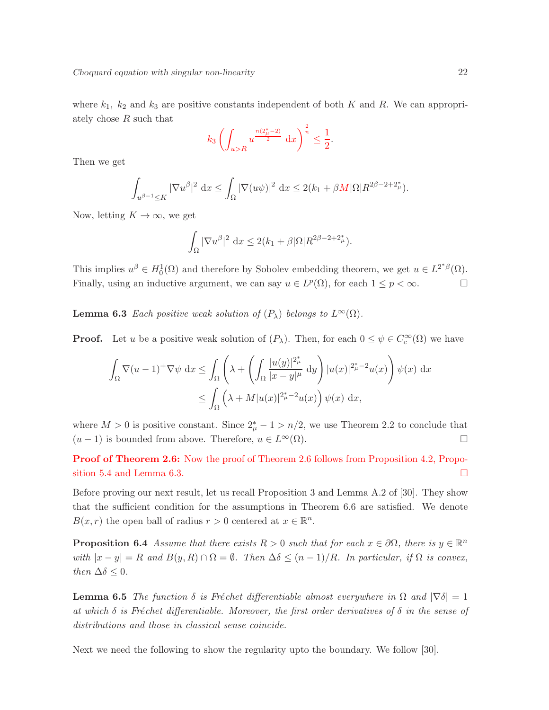where  $k_1$ ,  $k_2$  and  $k_3$  are positive constants independent of both K and R. We can appropriately chose R such that

$$
k_3 \left( \int_{u>R} u^{\frac{n(2_\mu^*-2)}{2}} \, dx \right)^{\frac{2}{n}} \leq \frac{1}{2}.
$$

Then we get

$$
\int_{u^{\beta-1}\leq K} |\nabla u^{\beta}|^2 dx \leq \int_{\Omega} |\nabla(u\psi)|^2 dx \leq 2(k_1 + \beta M |\Omega| R^{2\beta-2+2\mu}).
$$

Now, letting  $K \to \infty$ , we get

$$
\int_{\Omega} |\nabla u^{\beta}|^2 dx \le 2(k_1 + \beta |\Omega| R^{2\beta - 2 + 2_{\mu}^*}).
$$

This implies  $u^{\beta} \in H_0^1(\Omega)$  and therefore by Sobolev embedding theorem, we get  $u \in L^{2^*\beta}(\Omega)$ . Finally, using an inductive argument, we can say  $u \in L^p(\Omega)$ , for each  $1 \leq p < \infty$ .

**Lemma 6.3** Each positive weak solution of  $(P_\lambda)$  belongs to  $L^\infty(\Omega)$ .

**Proof.** Let u be a positive weak solution of  $(P_\lambda)$ . Then, for each  $0 \le \psi \in C_c^{\infty}(\Omega)$  we have

$$
\int_{\Omega} \nabla (u-1)^{+} \nabla \psi \, dx \le \int_{\Omega} \left( \lambda + \left( \int_{\Omega} \frac{|u(y)|^{2_{\mu}^{*}}}{|x-y|^{\mu}} \, dy \right) |u(x)|^{2_{\mu}^{*}-2} u(x) \right) \psi(x) \, dx
$$

$$
\le \int_{\Omega} \left( \lambda + M |u(x)|^{2_{\mu}^{*}-2} u(x) \right) \psi(x) \, dx,
$$

where  $M > 0$  is positive constant. Since  $2^*_{\mu} - 1 > n/2$ , we use Theorem 2.2 to conclude that  $(u-1)$  is bounded from above. Therefore,  $u \in L^{\infty}(\Omega)$ .

**Proof of Theorem 2.6:** Now the proof of Theorem 2.6 follows from Proposition 4.2, Proposition 5.4 and Lemma 6.3.

Before proving our next result, let us recall Proposition 3 and Lemma A.2 of [30]. They show that the sufficient condition for the assumptions in Theorem 6.6 are satisfied. We denote  $B(x,r)$  the open ball of radius  $r > 0$  centered at  $x \in \mathbb{R}^n$ .

**Proposition 6.4** Assume that there exists  $R > 0$  such that for each  $x \in \partial\Omega$ , there is  $y \in \mathbb{R}^n$ with  $|x - y| = R$  and  $B(y, R) \cap \Omega = \emptyset$ . Then  $\Delta \delta \leq (n - 1)/R$ . In particular, if  $\Omega$  is convex, then  $\Delta \delta \leq 0$ .

**Lemma 6.5** The function  $\delta$  is Fréchet differentiable almost everywhere in  $\Omega$  and  $|\nabla \delta| = 1$ at which  $\delta$  is Fréchet differentiable. Moreover, the first order derivatives of  $\delta$  in the sense of distributions and those in classical sense coincide.

Next we need the following to show the regularity upto the boundary. We follow [30].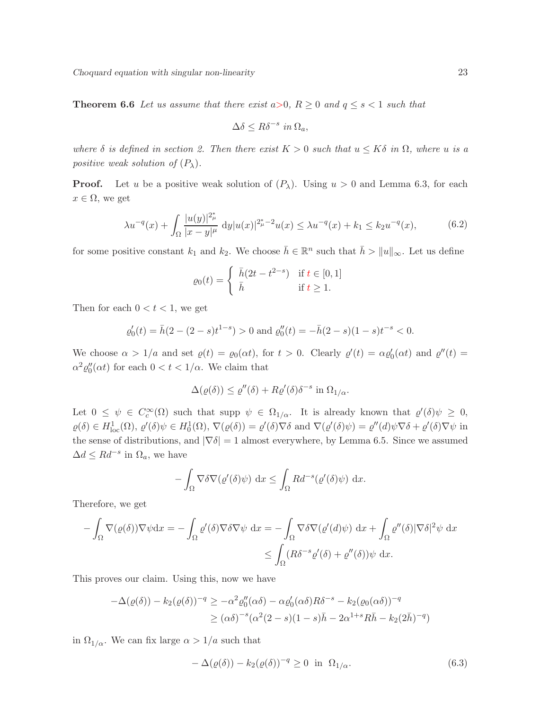**Theorem 6.6** Let us assume that there exist  $a>0$ ,  $R\geq 0$  and  $q\leq s<1$  such that

$$
\Delta \delta \le R \delta^{-s} \ in \ \Omega_a,
$$

where  $\delta$  is defined in section 2. Then there exist  $K > 0$  such that  $u \leq K\delta$  in  $\Omega$ , where u is a positive weak solution of  $(P_\lambda)$ .

**Proof.** Let u be a positive weak solution of  $(P_\lambda)$ . Using  $u > 0$  and Lemma 6.3, for each  $x \in \Omega$ , we get

$$
\lambda u^{-q}(x) + \int_{\Omega} \frac{|u(y)|^{2_{\mu}^{*}}}{|x - y|^{\mu}} dy |u(x)|^{2_{\mu}^{*}-2} u(x) \leq \lambda u^{-q}(x) + k_{1} \leq k_{2} u^{-q}(x), \tag{6.2}
$$

for some positive constant  $k_1$  and  $k_2$ . We choose  $\bar{h} \in \mathbb{R}^n$  such that  $\bar{h} > ||u||_{\infty}$ . Let us define

$$
\varrho_0(t) = \begin{cases} \bar{h}(2t - t^{2-s}) & \text{if } t \in [0, 1] \\ \bar{h} & \text{if } t \ge 1. \end{cases}
$$

Then for each  $0 < t < 1$ , we get

$$
\varrho'_0(t) = \bar{h}(2 - (2 - s)t^{1-s}) > 0
$$
 and  $\varrho''_0(t) = -\bar{h}(2 - s)(1 - s)t^{-s} < 0$ .

We choose  $\alpha > 1/a$  and set  $\varrho(t) = \varrho_0(\alpha t)$ , for  $t > 0$ . Clearly  $\varrho'(t) = \alpha \varrho'_0(\alpha t)$  and  $\varrho''(t) =$  $\alpha^2 \varrho_0''(\alpha t)$  for each  $0 < t < 1/\alpha$ . We claim that

$$
\Delta(\varrho(\delta)) \le \varrho''(\delta) + R\varrho'(\delta)\delta^{-s} \text{ in } \Omega_{1/\alpha}.
$$

Let  $0 \leq \psi \in C_c^{\infty}(\Omega)$  such that supp  $\psi \in \Omega_{1/\alpha}$ . It is already known that  $\varrho'(\delta)\psi \geq 0$ ,  $\varrho(\delta) \in H^1_{\text{loc}}(\Omega), \varrho'(\delta)\psi \in H^1_0(\Omega), \nabla(\varrho(\delta)) = \varrho'(\delta)\nabla\delta \text{ and } \nabla(\varrho'(\delta)\psi) = \varrho''(d)\psi\nabla\delta + \varrho'(\delta)\nabla\psi \text{ in }$ the sense of distributions, and  $|\nabla \delta| = 1$  almost everywhere, by Lemma 6.5. Since we assumed  $\Delta d \leq R d^{-s}$  in  $\Omega_a$ , we have

$$
-\int_{\Omega} \nabla \delta \nabla (\varrho'(\delta)\psi) \, \mathrm{d}x \le \int_{\Omega} R d^{-s}(\varrho'(\delta)\psi) \, \mathrm{d}x.
$$

Therefore, we get

$$
-\int_{\Omega} \nabla(\varrho(\delta)) \nabla \psi \, dx = -\int_{\Omega} \varrho'(\delta) \nabla \delta \nabla \psi \, dx = -\int_{\Omega} \nabla \delta \nabla(\varrho'(d) \psi) \, dx + \int_{\Omega} \varrho''(\delta) |\nabla \delta|^2 \psi \, dx
$$

$$
\leq \int_{\Omega} (R\delta^{-s} \varrho'(\delta) + \varrho''(\delta)) \psi \, dx.
$$

This proves our claim. Using this, now we have

$$
-\Delta(\varrho(\delta)) - k_2(\varrho(\delta))^{-q} \ge -\alpha^2 \varrho_0''(\alpha\delta) - \alpha \varrho_0'(\alpha\delta) R\delta^{-s} - k_2(\varrho_0(\alpha\delta))^{-q}
$$
  

$$
\ge (\alpha\delta)^{-s} (\alpha^2(2-s)(1-s)\bar{h} - 2\alpha^{1+s}R\bar{h} - k_2(2\bar{h})^{-q})
$$

in  $\Omega_{1/\alpha}$ . We can fix large  $\alpha > 1/a$  such that

$$
-\Delta(\varrho(\delta)) - k_2(\varrho(\delta))^{-q} \ge 0 \quad \text{in} \quad \Omega_{1/\alpha}.\tag{6.3}
$$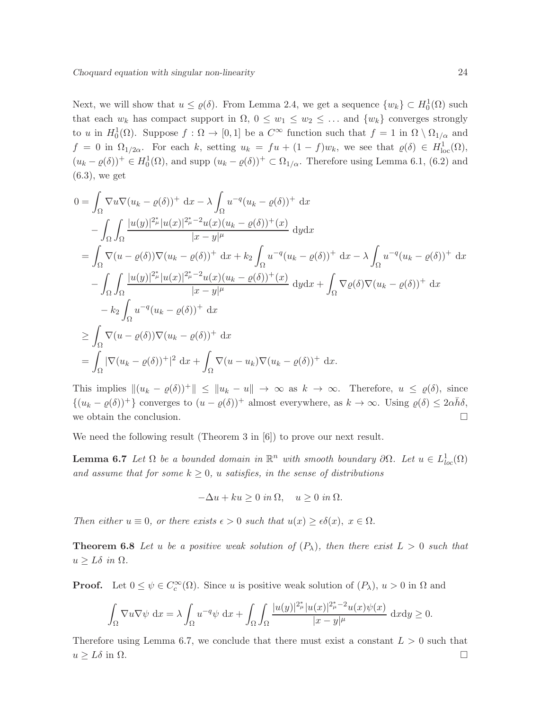Next, we will show that  $u \leq \varrho(\delta)$ . From Lemma 2.4, we get a sequence  $\{w_k\} \subset H_0^1(\Omega)$  such that each  $w_k$  has compact support in  $\Omega$ ,  $0 \leq w_1 \leq w_2 \leq \ldots$  and  $\{w_k\}$  converges strongly to u in  $H_0^1(\Omega)$ . Suppose  $f : \Omega \to [0,1]$  be a  $C^{\infty}$  function such that  $f = 1$  in  $\Omega \setminus \Omega_{1/\alpha}$  and  $f = 0$  in  $\Omega_{1/2\alpha}$ . For each k, setting  $u_k = fu + (1 - f)w_k$ , we see that  $\varrho(\delta) \in H^1_{loc}(\Omega)$ ,  $(u_k - \varrho(\delta))^+ \in H_0^1(\Omega)$ , and supp  $(u_k - \varrho(\delta))^+ \subset \Omega_{1/\alpha}$ . Therefore using Lemma 6.1, (6.2) and (6.3), we get

$$
0 = \int_{\Omega} \nabla u \nabla (u_k - \varrho(\delta))^+ dx - \lambda \int_{\Omega} u^{-q} (u_k - \varrho(\delta))^+ dx
$$
  
\n
$$
- \int_{\Omega} \int_{\Omega} \frac{|u(y)|^{2_{\mu}^*} |u(x)|^{2_{\mu}^* - 2} u(x) (u_k - \varrho(\delta))^+ (x)}{|x - y|^{\mu}}
$$
  
\n
$$
= \int_{\Omega} \nabla (u - \varrho(\delta)) \nabla (u_k - \varrho(\delta))^+ dx + k_2 \int_{\Omega} u^{-q} (u_k - \varrho(\delta))^+ dx - \lambda \int_{\Omega} u^{-q} (u_k - \varrho(\delta))^+ dx
$$
  
\n
$$
- \int_{\Omega} \int_{\Omega} \frac{|u(y)|^{2_{\mu}^*} |u(x)|^{2_{\mu}^* - 2} u(x) (u_k - \varrho(\delta))^+ (x)}{|x - y|^{\mu}}
$$
  
\n
$$
- k_2 \int_{\Omega} u^{-q} (u_k - \varrho(\delta))^+ dx
$$
  
\n
$$
\geq \int_{\Omega} \nabla (u - \varrho(\delta)) \nabla (u_k - \varrho(\delta))^+ dx
$$
  
\n
$$
= \int_{\Omega} |\nabla (u_k - \varrho(\delta))^+|^2 dx + \int_{\Omega} \nabla (u - u_k) \nabla (u_k - \varrho(\delta))^+ dx.
$$

This implies  $\|(u_k - \varrho(\delta))^+\| \leq \|u_k - u\| \to \infty$  as  $k \to \infty$ . Therefore,  $u \leq \varrho(\delta)$ , since  $\{(u_k - \varrho(\delta))^+\}\)$  converges to  $(u - \varrho(\delta))^+$  almost everywhere, as  $k \to \infty$ . Using  $\varrho(\delta) \leq 2\alpha\bar{h}\delta$ , we obtain the conclusion.  $\hfill\Box$ 

We need the following result (Theorem 3 in [6]) to prove our next result.

**Lemma 6.7** Let  $\Omega$  be a bounded domain in  $\mathbb{R}^n$  with smooth boundary  $\partial\Omega$ . Let  $u \in L^1_{loc}(\Omega)$ and assume that for some  $k \geq 0$ , u satisfies, in the sense of distributions

$$
-\Delta u + ku \ge 0 \text{ in } \Omega, \quad u \ge 0 \text{ in } \Omega.
$$

Then either  $u \equiv 0$ , or there exists  $\epsilon > 0$  such that  $u(x) \geq \epsilon \delta(x)$ ,  $x \in \Omega$ .

**Theorem 6.8** Let u be a positive weak solution of  $(P_\lambda)$ , then there exist  $L > 0$  such that  $u \geq L\delta$  in  $\Omega$ .

**Proof.** Let  $0 \le \psi \in C_c^{\infty}(\Omega)$ . Since u is positive weak solution of  $(P_{\lambda})$ ,  $u > 0$  in  $\Omega$  and

$$
\int_{\Omega} \nabla u \nabla \psi \, dx = \lambda \int_{\Omega} u^{-q} \psi \, dx + \int_{\Omega} \int_{\Omega} \frac{|u(y)|^{2_{\mu}^{\ast}} |u(x)|^{2_{\mu}^{\ast} - 2} u(x) \psi(x)}{|x - y|^{\mu}} \, dx dy \ge 0.
$$

Therefore using Lemma 6.7, we conclude that there must exist a constant  $L > 0$  such that  $u \geq L\delta$  in  $\Omega$ .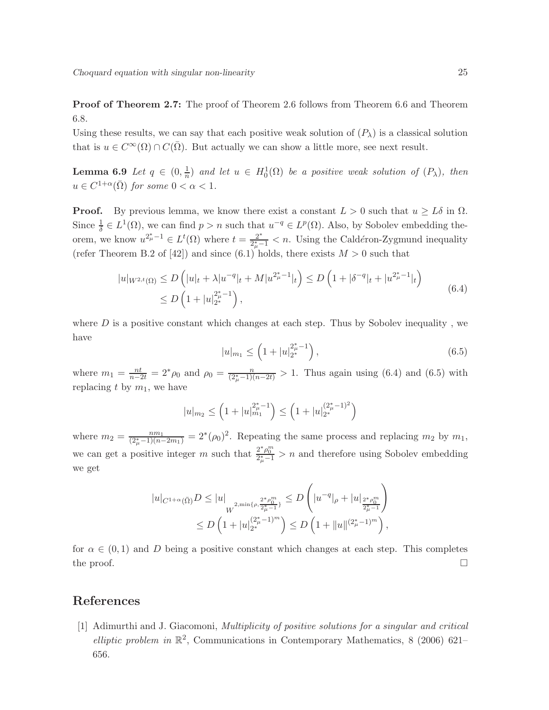Proof of Theorem 2.7: The proof of Theorem 2.6 follows from Theorem 6.6 and Theorem 6.8.

Using these results, we can say that each positive weak solution of  $(P_\lambda)$  is a classical solution that is  $u \in C^{\infty}(\Omega) \cap C(\overline{\Omega})$ . But actually we can show a little more, see next result.

**Lemma 6.9** Let  $q \in (0, \frac{1}{n})$  $\frac{1}{n}$ ) and let  $u \in H_0^1(\Omega)$  be a positive weak solution of  $(P_\lambda)$ , then  $u \in C^{1+\alpha}(\bar{\Omega})$  for some  $0 < \alpha < 1$ .

**Proof.** By previous lemma, we know there exist a constant  $L > 0$  such that  $u \geq L\delta$  in  $\Omega$ . Since  $\frac{1}{\delta} \in L^1(\Omega)$ , we can find  $p > n$  such that  $u^{-q} \in L^p(\Omega)$ . Also, by Sobolev embedding theorem, we know  $u^{2_{\mu}^{\ast}-1} \in L^{t}(\Omega)$  where  $t = \frac{2^{*}}{2^{*}-1}$  $\frac{2^x}{2^x+1}$  < n. Using the Caldéron-Zygmund inequality (refer Theorem B.2 of [42]) and since (6.1) holds, there exists  $M > 0$  such that

$$
|u|_{W^{2,t}(\Omega)} \le D\left(|u|_t + \lambda |u^{-q}|_t + M |u^{2_{\mu}^* - 1}|_t\right) \le D\left(1 + |\delta^{-q}|_t + |u^{2_{\mu}^* - 1}|_t\right)
$$
  
\n
$$
\le D\left(1 + |u|_{2^*}^{2_{\mu}^* - 1}\right),
$$
\n(6.4)

where  $D$  is a positive constant which changes at each step. Thus by Sobolev inequality, we have

$$
|u|_{m_1} \le \left(1 + |u|_{2^*}^{2^* - 1}\right),\tag{6.5}
$$

where  $m_1 = \frac{nt}{n-2t} = 2^*\rho_0$  and  $\rho_0 = \frac{n}{(2^*_\mu - 1)(n-2t)} > 1$ . Thus again using (6.4) and (6.5) with replacing t by  $m_1$ , we have

$$
|u|_{m_2} \le \left(1 + |u|_{m_1}^{2^*_\mu - 1}\right) \le \left(1 + |u|_{2^*}^{(2^*_\mu - 1)^2}\right)
$$

where  $m_2 = \frac{nm_1}{(2^*_{\mu}-1)(n-2m_1)} = 2^*(\rho_0)^2$ . Repeating the same process and replacing  $m_2$  by  $m_1$ , we can get a positive integer m such that  $\frac{2^*\rho_0^m}{2^*_\mu-1} > n$  and therefore using Sobolev embedding we get

$$
|u|_{C^{1+\alpha}(\bar{\Omega})}D \le |u|_{W^{2,\min\{\rho,\frac{2^*\rho_0^m}{2^*_\mu-1}\}}} \le D\left(|u^{-q}|_{\rho}+|u|_{\frac{2^*\rho_0^m}{2^*_\mu-1}}\right)
$$
  

$$
\le D\left(1+|u|_{2^*}^{(2^*_\mu-1)^m}\right) \le D\left(1+\|u\|_{2^*}^{(2^*_\mu-1)^m}\right),
$$

for  $\alpha \in (0,1)$  and D being a positive constant which changes at each step. This completes the proof.  $\Box$ 

## References

[1] Adimurthi and J. Giacomoni, Multiplicity of positive solutions for a singular and critical elliptic problem in  $\mathbb{R}^2$ , Communications in Contemporary Mathematics, 8 (2006) 621– 656.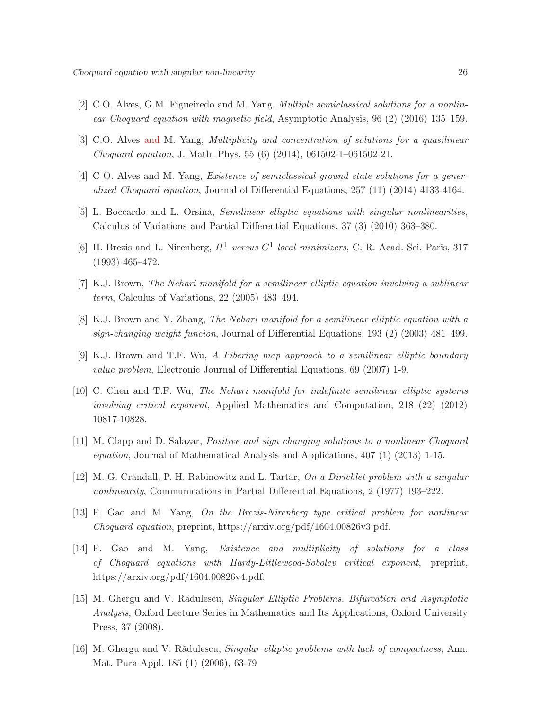- [2] C.O. Alves, G.M. Figueiredo and M. Yang, Multiple semiclassical solutions for a nonlinear Choquard equation with magnetic field, Asymptotic Analysis, 96 (2) (2016) 135–159.
- [3] C.O. Alves and M. Yang, Multiplicity and concentration of solutions for a quasilinear Choquard equation, J. Math. Phys. 55 (6) (2014), 061502-1–061502-21.
- [4] C O. Alves and M. Yang, Existence of semiclassical ground state solutions for a generalized Choquard equation, Journal of Differential Equations, 257 (11) (2014) 4133-4164.
- [5] L. Boccardo and L. Orsina, Semilinear elliptic equations with singular nonlinearities, Calculus of Variations and Partial Differential Equations, 37 (3) (2010) 363–380.
- [6] H. Brezis and L. Nirenberg,  $H^1$  versus  $C^1$  local minimizers, C. R. Acad. Sci. Paris, 317 (1993) 465–472.
- [7] K.J. Brown, The Nehari manifold for a semilinear elliptic equation involving a sublinear term, Calculus of Variations, 22 (2005) 483–494.
- [8] K.J. Brown and Y. Zhang, The Nehari manifold for a semilinear elliptic equation with a sign-changing weight funcion, Journal of Differential Equations, 193 (2) (2003) 481–499.
- [9] K.J. Brown and T.F. Wu, A Fibering map approach to a semilinear elliptic boundary value problem, Electronic Journal of Differential Equations, 69 (2007) 1-9.
- [10] C. Chen and T.F. Wu, The Nehari manifold for indefinite semilinear elliptic systems involving critical exponent, Applied Mathematics and Computation, 218 (22) (2012) 10817-10828.
- [11] M. Clapp and D. Salazar, Positive and sign changing solutions to a nonlinear Choquard equation, Journal of Mathematical Analysis and Applications, 407 (1) (2013) 1-15.
- [12] M. G. Crandall, P. H. Rabinowitz and L. Tartar, On a Dirichlet problem with a singular nonlinearity, Communications in Partial Differential Equations, 2 (1977) 193–222.
- [13] F. Gao and M. Yang, On the Brezis-Nirenberg type critical problem for nonlinear Choquard equation, preprint, https://arxiv.org/pdf/1604.00826v3.pdf.
- [14] F. Gao and M. Yang, Existence and multiplicity of solutions for a class of Choquard equations with Hardy-Littlewood-Sobolev critical exponent, preprint, https://arxiv.org/pdf/1604.00826v4.pdf.
- [15] M. Ghergu and V. Rădulescu, *Singular Elliptic Problems. Bifurcation and Asymptotic* Analysis, Oxford Lecture Series in Mathematics and Its Applications, Oxford University Press, 37 (2008).
- [16] M. Ghergu and V. Rădulescu, Singular elliptic problems with lack of compactness, Ann. Mat. Pura Appl. 185 (1) (2006), 63-79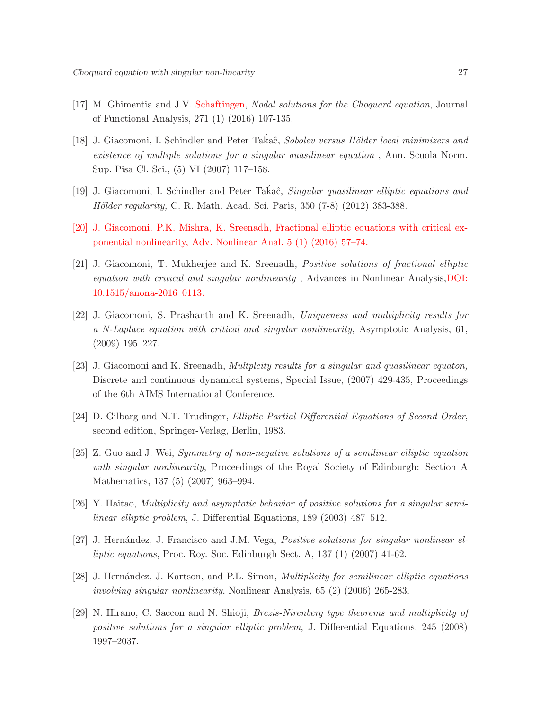- [17] M. Ghimentia and J.V. Schaftingen, Nodal solutions for the Choquard equation, Journal of Functional Analysis, 271 (1) (2016) 107-135.
- [18] J. Giacomoni, I. Schindler and Peter Takaĉ, Sobolev versus Hölder local minimizers and existence of multiple solutions for a singular quasilinear equation , Ann. Scuola Norm. Sup. Pisa Cl. Sci., (5) VI (2007) 117–158.
- [19] J. Giacomoni, I. Schindler and Peter Takaĉ, Singular quasilinear elliptic equations and Hölder regularity, C. R. Math. Acad. Sci. Paris, 350 (7-8) (2012) 383-388.
- [20] J. Giacomoni, P.K. Mishra, K. Sreenadh, Fractional elliptic equations with critical exponential nonlinearity, Adv. Nonlinear Anal. 5 (1) (2016) 57–74.
- [21] J. Giacomoni, T. Mukherjee and K. Sreenadh, Positive solutions of fractional elliptic equation with critical and singular nonlinearity , Advances in Nonlinear Analysis,DOI: 10.1515/anona-2016–0113.
- [22] J. Giacomoni, S. Prashanth and K. Sreenadh, Uniqueness and multiplicity results for a N-Laplace equation with critical and singular nonlinearity, Asymptotic Analysis, 61, (2009) 195–227.
- [23] J. Giacomoni and K. Sreenadh, *Multplcity results for a singular and quasilinear equaton*, Discrete and continuous dynamical systems, Special Issue, (2007) 429-435, Proceedings of the 6th AIMS International Conference.
- [24] D. Gilbarg and N.T. Trudinger, Elliptic Partial Differential Equations of Second Order, second edition, Springer-Verlag, Berlin, 1983.
- [25] Z. Guo and J. Wei, Symmetry of non-negative solutions of a semilinear elliptic equation with singular nonlinearity, Proceedings of the Royal Society of Edinburgh: Section A Mathematics, 137 (5) (2007) 963–994.
- [26] Y. Haitao, Multiplicity and asymptotic behavior of positive solutions for a singular semilinear elliptic problem, J. Differential Equations, 189 (2003) 487–512.
- [27] J. Hernández, J. Francisco and J.M. Vega, *Positive solutions for singular nonlinear el*liptic equations, Proc. Roy. Soc. Edinburgh Sect. A, 137 (1) (2007) 41-62.
- [28] J. Hernández, J. Kartson, and P.L. Simon, *Multiplicity for semilinear elliptic equations* involving singular nonlinearity, Nonlinear Analysis, 65 (2) (2006) 265-283.
- [29] N. Hirano, C. Saccon and N. Shioji, Brezis-Nirenberg type theorems and multiplicity of positive solutions for a singular elliptic problem, J. Differential Equations, 245 (2008) 1997–2037.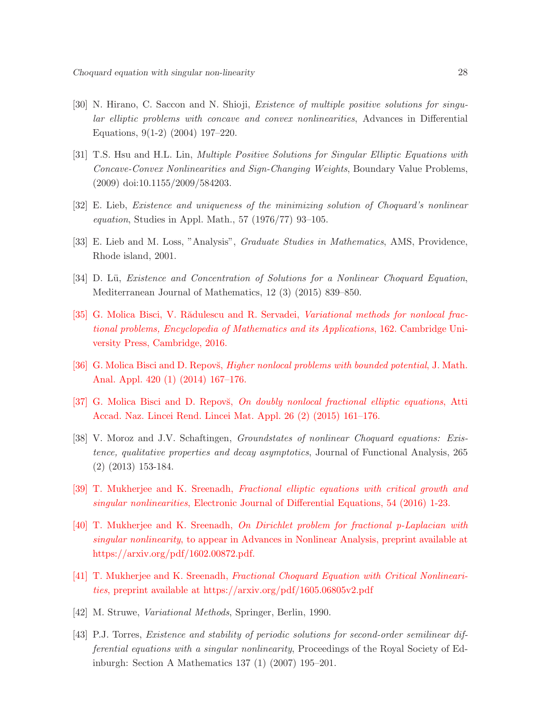- [30] N. Hirano, C. Saccon and N. Shioji, *Existence of multiple positive solutions for singu*lar elliptic problems with concave and convex nonlinearities, Advances in Differential Equations, 9(1-2) (2004) 197–220.
- [31] T.S. Hsu and H.L. Lin, Multiple Positive Solutions for Singular Elliptic Equations with Concave-Convex Nonlinearities and Sign-Changing Weights, Boundary Value Problems, (2009) doi:10.1155/2009/584203.
- [32] E. Lieb, Existence and uniqueness of the minimizing solution of Choquard's nonlinear *equation*, Studies in Appl. Math., 57  $(1976/77)$  93–105.
- [33] E. Lieb and M. Loss, "Analysis", *Graduate Studies in Mathematics*, AMS, Providence, Rhode island, 2001.
- [34] D. Lü, Existence and Concentration of Solutions for a Nonlinear Choquard Equation, Mediterranean Journal of Mathematics, 12 (3) (2015) 839–850.
- [35] G. Molica Bisci, V. Rădulescu and R. Servadei, Variational methods for nonlocal fractional problems, Encyclopedia of Mathematics and its Applications, 162. Cambridge University Press, Cambridge, 2016.
- [36] G. Molica Bisci and D. Repovs, *Higher nonlocal problems with bounded potential*, J. Math. Anal. Appl. 420 (1) (2014) 167–176.
- [37] G. Molica Bisci and D. Repovs, On doubly nonlocal fractional elliptic equations, Atti Accad. Naz. Lincei Rend. Lincei Mat. Appl. 26 (2) (2015) 161–176.
- [38] V. Moroz and J.V. Schaftingen, Groundstates of nonlinear Choquard equations: Existence, qualitative properties and decay asymptotics, Journal of Functional Analysis, 265 (2) (2013) 153-184.
- [39] T. Mukherjee and K. Sreenadh, Fractional elliptic equations with critical growth and singular nonlinearities, Electronic Journal of Differential Equations, 54 (2016) 1-23.
- [40] T. Mukherjee and K. Sreenadh, On Dirichlet problem for fractional p-Laplacian with singular nonlinearity, to appear in Advances in Nonlinear Analysis, preprint available at https://arxiv.org/pdf/1602.00872.pdf.
- [41] T. Mukherjee and K. Sreenadh, Fractional Choquard Equation with Critical Nonlinearities, preprint available at https://arxiv.org/pdf/1605.06805v2.pdf
- [42] M. Struwe, Variational Methods, Springer, Berlin, 1990.
- [43] P.J. Torres, Existence and stability of periodic solutions for second-order semilinear differential equations with a singular nonlinearity, Proceedings of the Royal Society of Edinburgh: Section A Mathematics 137 (1) (2007) 195–201.